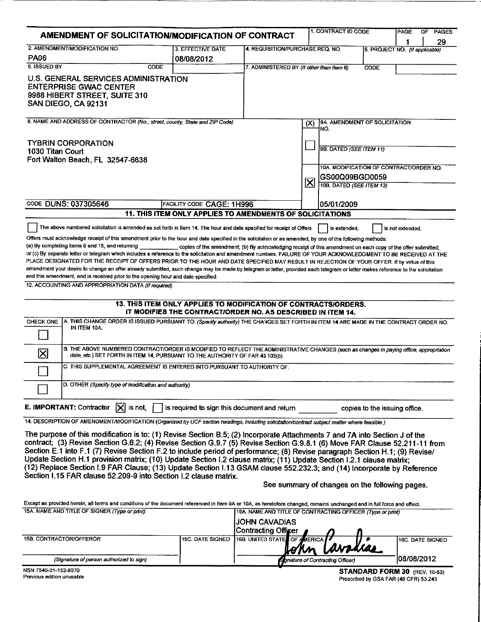|                             | AMENDMENT OF SOLICITATION/MODIFICATION OF CONTRACT                                                                                                                                                                                                                                                                                                                                                                                                                                                                                                                                                                                                                                                                                                                                                                                                                                                                                                                                                                                                                                          |                                                                  |                                                                                    | 1. CONTRACT ID CODE                                                                 | PAGE<br>OF<br><b>PAGES</b>                                                                                   |
|-----------------------------|---------------------------------------------------------------------------------------------------------------------------------------------------------------------------------------------------------------------------------------------------------------------------------------------------------------------------------------------------------------------------------------------------------------------------------------------------------------------------------------------------------------------------------------------------------------------------------------------------------------------------------------------------------------------------------------------------------------------------------------------------------------------------------------------------------------------------------------------------------------------------------------------------------------------------------------------------------------------------------------------------------------------------------------------------------------------------------------------|------------------------------------------------------------------|------------------------------------------------------------------------------------|-------------------------------------------------------------------------------------|--------------------------------------------------------------------------------------------------------------|
|                             |                                                                                                                                                                                                                                                                                                                                                                                                                                                                                                                                                                                                                                                                                                                                                                                                                                                                                                                                                                                                                                                                                             |                                                                  |                                                                                    |                                                                                     | 29                                                                                                           |
|                             | 2. AMENDMENT/MODIFICATION NO.                                                                                                                                                                                                                                                                                                                                                                                                                                                                                                                                                                                                                                                                                                                                                                                                                                                                                                                                                                                                                                                               | 3. EFFECTIVE DATE                                                | 4. REQUISITION/PURCHASE REQ. NO.                                                   |                                                                                     | 5. PROJECT NO. (If applicable)                                                                               |
| <b>PA06</b><br>6. ISSUED BY | CODE                                                                                                                                                                                                                                                                                                                                                                                                                                                                                                                                                                                                                                                                                                                                                                                                                                                                                                                                                                                                                                                                                        | 08/08/2012                                                       |                                                                                    |                                                                                     |                                                                                                              |
|                             | U.S. GENERAL SERVICES ADMINISTRATION<br><b>ENTERPRISE GWAC CENTER</b><br>9988 HIBERT STREET, SUITE 310<br>SAN DIEGO, CA 92131                                                                                                                                                                                                                                                                                                                                                                                                                                                                                                                                                                                                                                                                                                                                                                                                                                                                                                                                                               |                                                                  | 7. ADMINISTERED BY (If other than Item 6)                                          |                                                                                     | CODE                                                                                                         |
|                             | 8. NAME AND ADDRESS OF CONTRACTOR (No., street, county, State and ZIP Code)                                                                                                                                                                                                                                                                                                                                                                                                                                                                                                                                                                                                                                                                                                                                                                                                                                                                                                                                                                                                                 |                                                                  |                                                                                    | (X)                                                                                 | 9A. AMENDMENT OF SOLICITATION                                                                                |
| 1030 Titan Court            | <b>TYBRIN CORPORATION</b><br>Fort Walton Beach, FL 32547-6638                                                                                                                                                                                                                                                                                                                                                                                                                                                                                                                                                                                                                                                                                                                                                                                                                                                                                                                                                                                                                               |                                                                  |                                                                                    | NO.<br>9B. DATED (SEE ITEM 11)<br>GS00Q09BGD0059<br>ΙXΙ<br>10B. DATED (SEE ITEM 13) | 10A. MODIFICATION OF CONTRACT/ORDER NO.                                                                      |
|                             | CODE DUNS: 037305646                                                                                                                                                                                                                                                                                                                                                                                                                                                                                                                                                                                                                                                                                                                                                                                                                                                                                                                                                                                                                                                                        | <b>FACILITY CODE CAGE: 1H996</b>                                 |                                                                                    | 105/01/2009                                                                         |                                                                                                              |
|                             |                                                                                                                                                                                                                                                                                                                                                                                                                                                                                                                                                                                                                                                                                                                                                                                                                                                                                                                                                                                                                                                                                             | <b>11. THIS ITEM ONLY APPLIES TO AMENDMENTS OF SOLICITATIONS</b> |                                                                                    |                                                                                     |                                                                                                              |
|                             | (a) By completing items 8 and 15, and returning<br>or (c) By separate letter or telegram which includes a reference to the solicitation and amendment numbers. FAILURE OF YOUR ACKNOWLEDGMENT TO BE RECEIVED AT THE<br>PLACE DESIGNATED FOR THE RECEIPT OF OFFERS PRIOR TO THE HOUR AND DATE SPECIFIED MAY RESULT IN REJECTION OF YOUR OFFER. If by virtue of this<br>amendment your desire to change an offer already submitted, such change may be made by telegram or letter, provided each telegram or letter makes reference to the solicitation<br>and this amendment, and is received prior to the opening hour and date specified.<br>12. ACCOUNTING AND APPROPRIATION DATA (If required)                                                                                                                                                                                                                                                                                                                                                                                           | 13. THIS ITEM ONLY APPLIES TO MODIFICATION OF CONTRACTS/ORDERS.  |                                                                                    |                                                                                     | copies of the amendment; (b) By acknowledging receipt of this amendment on each copy of the offer submitted; |
|                             |                                                                                                                                                                                                                                                                                                                                                                                                                                                                                                                                                                                                                                                                                                                                                                                                                                                                                                                                                                                                                                                                                             | IT MODIFIES THE CONTRACT/ORDER NO. AS DESCRIBED IN ITEM 14.      |                                                                                    |                                                                                     |                                                                                                              |
| <b>CHECK ONE</b><br>X       | A. THIS CHANGE ORDER IS ISSUED PURSUANT TO: (Specify authority) THE CHANGES SET FORTH IN ITEM 14 ARE MADE IN THE CONTRACT ORDER NO.<br>IN ITEM 10A<br>B. THE ABOVE NUMBERED CONTRACT/ORDER IS MODIFIED TO REFLECT THE ADMINISTRATIVE CHANGES (such as changes in paying office, appropriation                                                                                                                                                                                                                                                                                                                                                                                                                                                                                                                                                                                                                                                                                                                                                                                               |                                                                  |                                                                                    |                                                                                     |                                                                                                              |
|                             | date, etc.) SET FORTH IN ITEM 14, PURSUANT TO THE AUTHORITY OF FAR 43.103(b).                                                                                                                                                                                                                                                                                                                                                                                                                                                                                                                                                                                                                                                                                                                                                                                                                                                                                                                                                                                                               |                                                                  |                                                                                    |                                                                                     |                                                                                                              |
|                             | C. THIS SUPPLEMENTAL AGREEMENT IS ENTERED INTO PURSUANT TO AUTHORITY OF:                                                                                                                                                                                                                                                                                                                                                                                                                                                                                                                                                                                                                                                                                                                                                                                                                                                                                                                                                                                                                    |                                                                  |                                                                                    |                                                                                     |                                                                                                              |
|                             | D. OTHER (Specify type of modification and authority)                                                                                                                                                                                                                                                                                                                                                                                                                                                                                                                                                                                                                                                                                                                                                                                                                                                                                                                                                                                                                                       |                                                                  |                                                                                    |                                                                                     |                                                                                                              |
|                             | E. IMPORTANT: Contractor<br>$ \mathsf{X} $ is not,                                                                                                                                                                                                                                                                                                                                                                                                                                                                                                                                                                                                                                                                                                                                                                                                                                                                                                                                                                                                                                          | is required to sign this document and return                     |                                                                                    |                                                                                     | copies to the issuing office.                                                                                |
|                             | 14. DESCRIPTION OF AMENDMENT/MODIFICATION (Organized by UCF section headings, including solicitation/contract subject matter where feasible.)<br>The purpose of this modification is to: (1) Revise Section B.5; (2) Incorporate Attachments 7 and 7A into Section J of the<br>contract; (3) Revise Section G.6.2; (4) Revise Section G.9.7 (5) Revise Section G.9.8.1 (6) Move FAR Clause 52.211-11 from<br>Section E.1 into F.1 (7) Revise Section F.2 to include period of performance; (8) Revise paragraph Section H.1; (9) Revise/<br>Update Section H.1 provision matrix; (10) Update Section I.2 clause matrix; (11) Update Section I.2.1 clause matrix;<br>(12) Replace Section I.9 FAR Clause; (13) Update Section I.13 GSAM clause 552.232.3; and (14) Incorporate by Reference<br>Section 1.15 FAR clause 52.209-9 into Section 1.2 clause matrix.<br>Except as provided herein, all terms and conditions of the document referenced in Item 9A or 10A, as heretofore changed, remains unchanged and in full force and effect.<br>15A. NAME AND TITLE OF SIGNER (Type or print) |                                                                  | 16A. NAME AND TITLE OF CONTRACTING OFFICER (Type or print)<br><b>JOHN CAVADIAS</b> |                                                                                     | See summary of changes on the following pages.                                                               |
|                             | 15B. CONTRACTOR/OFFEROR                                                                                                                                                                                                                                                                                                                                                                                                                                                                                                                                                                                                                                                                                                                                                                                                                                                                                                                                                                                                                                                                     | <b>15C. DATE SIGNED</b>                                          | <b>Contracting Officer</b><br><b>16B. UNITED STATE</b><br>I OF A                   | MERIC/                                                                              | 16C. DATE SIGNED                                                                                             |
|                             |                                                                                                                                                                                                                                                                                                                                                                                                                                                                                                                                                                                                                                                                                                                                                                                                                                                                                                                                                                                                                                                                                             |                                                                  |                                                                                    |                                                                                     |                                                                                                              |
|                             | (Signature of person authonzed to sign)                                                                                                                                                                                                                                                                                                                                                                                                                                                                                                                                                                                                                                                                                                                                                                                                                                                                                                                                                                                                                                                     |                                                                  |                                                                                    | gnature of Contracting Office                                                       | 08/08/2012                                                                                                   |

NSN 7540-01-152-8070 Previous edition unusable **STANDARD FORM 30** (REV. 10-83)<br>Prescribed by GSA FAR (48 CFR) 53.243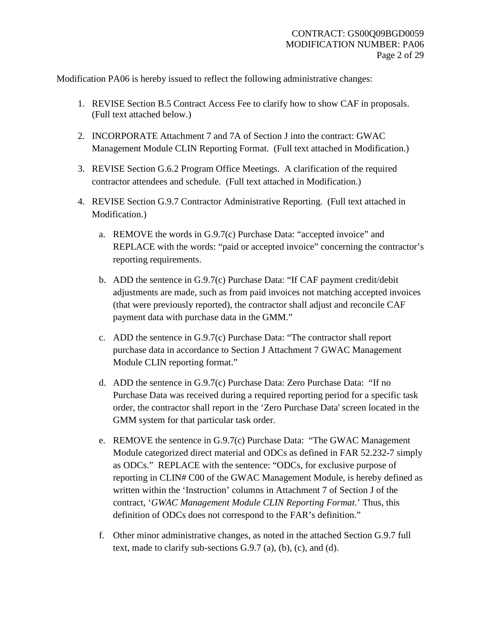Modification PA06 is hereby issued to reflect the following administrative changes:

- 1. REVISE Section B.5 Contract Access Fee to clarify how to show CAF in proposals. (Full text attached below.)
- 2. INCORPORATE Attachment 7 and 7A of Section J into the contract: GWAC Management Module CLIN Reporting Format. (Full text attached in Modification.)
- 3. REVISE Section G.6.2 Program Office Meetings. A clarification of the required contractor attendees and schedule. (Full text attached in Modification.)
- 4. REVISE Section G.9.7 Contractor Administrative Reporting. (Full text attached in Modification.)
	- a. REMOVE the words in G.9.7(c) Purchase Data: "accepted invoice" and REPLACE with the words: "paid or accepted invoice" concerning the contractor's reporting requirements.
	- b. ADD the sentence in G.9.7(c) Purchase Data: "If CAF payment credit/debit adjustments are made, such as from paid invoices not matching accepted invoices (that were previously reported), the contractor shall adjust and reconcile CAF payment data with purchase data in the GMM."
	- c. ADD the sentence in G.9.7(c) Purchase Data: "The contractor shall report purchase data in accordance to Section J Attachment 7 GWAC Management Module CLIN reporting format."
	- d. ADD the sentence in G.9.7(c) Purchase Data: Zero Purchase Data: "If no Purchase Data was received during a required reporting period for a specific task order, the contractor shall report in the 'Zero Purchase Data' screen located in the GMM system for that particular task order.
	- e. REMOVE the sentence in G.9.7(c) Purchase Data: "The GWAC Management Module categorized direct material and ODCs as defined in FAR 52.232-7 simply as ODCs." REPLACE with the sentence: "ODCs, for exclusive purpose of reporting in CLIN# C00 of the GWAC Management Module, is hereby defined as written within the 'Instruction' columns in Attachment 7 of Section J of the contract, '*GWAC Management Module CLIN Reporting Format*.' Thus, this definition of ODCs does not correspond to the FAR's definition."
	- f. Other minor administrative changes, as noted in the attached Section G.9.7 full text, made to clarify sub-sections G.9.7 (a), (b), (c), and (d).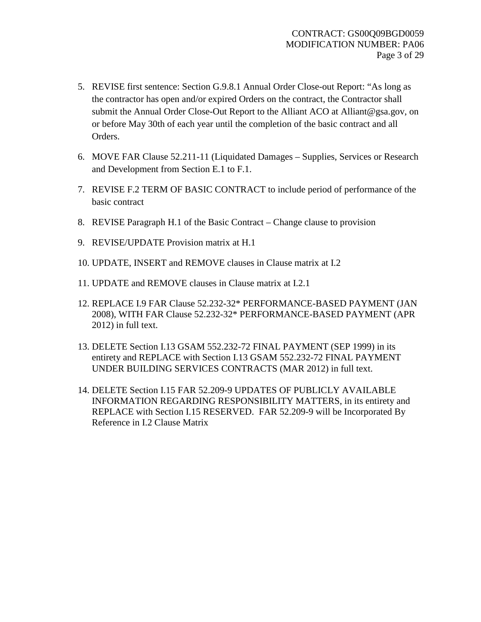- 5. REVISE first sentence: Section G.9.8.1 Annual Order Close-out Report: "As long as the contractor has open and/or expired Orders on the contract, the Contractor shall submit the Annual Order Close-Out Report to the Alliant ACO at Alliant@gsa.gov, on or before May 30th of each year until the completion of the basic contract and all Orders.
- 6. MOVE FAR Clause 52.211-11 (Liquidated Damages Supplies, Services or Research and Development from Section E.1 to F.1.
- 7. REVISE F.2 TERM OF BASIC CONTRACT to include period of performance of the basic contract
- 8. REVISE Paragraph H.1 of the Basic Contract Change clause to provision
- 9. REVISE/UPDATE Provision matrix at H.1
- 10. UPDATE, INSERT and REMOVE clauses in Clause matrix at I.2
- 11. UPDATE and REMOVE clauses in Clause matrix at I.2.1
- 12. REPLACE I.9 FAR Clause 52.232-32\* PERFORMANCE-BASED PAYMENT (JAN 2008), WITH FAR Clause 52.232-32\* PERFORMANCE-BASED PAYMENT (APR 2012) in full text.
- 13. DELETE Section I.13 GSAM 552.232-72 FINAL PAYMENT (SEP 1999) in its entirety and REPLACE with Section I.13 GSAM 552.232-72 FINAL PAYMENT UNDER BUILDING SERVICES CONTRACTS (MAR 2012) in full text.
- 14. DELETE Section I.15 FAR 52.209-9 UPDATES OF PUBLICLY AVAILABLE INFORMATION REGARDING RESPONSIBILITY MATTERS, in its entirety and REPLACE with Section I.15 RESERVED. FAR 52.209-9 will be Incorporated By Reference in I.2 Clause Matrix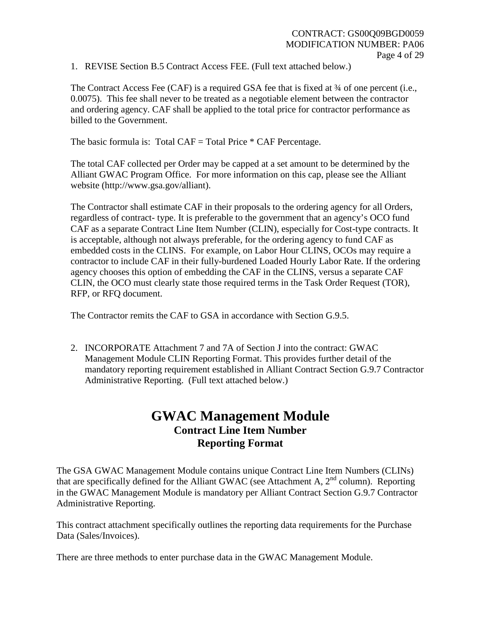1. REVISE Section B.5 Contract Access FEE. (Full text attached below.)

The Contract Access Fee (CAF) is a required GSA fee that is fixed at  $\frac{3}{4}$  of one percent (i.e., 0.0075). This fee shall never to be treated as a negotiable element between the contractor and ordering agency. CAF shall be applied to the total price for contractor performance as billed to the Government.

The basic formula is: Total  $CAF = Total Price * CAF$  Percentage.

The total CAF collected per Order may be capped at a set amount to be determined by the Alliant GWAC Program Office. For more information on this cap, please see the Alliant website (http://www.gsa.gov/alliant).

The Contractor shall estimate CAF in their proposals to the ordering agency for all Orders, regardless of contract- type. It is preferable to the government that an agency's OCO fund CAF as a separate Contract Line Item Number (CLIN), especially for Cost-type contracts. It is acceptable, although not always preferable, for the ordering agency to fund CAF as embedded costs in the CLINS. For example, on Labor Hour CLINS, OCOs may require a contractor to include CAF in their fully-burdened Loaded Hourly Labor Rate. If the ordering agency chooses this option of embedding the CAF in the CLINS, versus a separate CAF CLIN, the OCO must clearly state those required terms in the Task Order Request (TOR), RFP, or RFQ document.

The Contractor remits the CAF to GSA in accordance with Section G.9.5.

2. INCORPORATE Attachment 7 and 7A of Section J into the contract: GWAC Management Module CLIN Reporting Format. This provides further detail of the mandatory reporting requirement established in Alliant Contract Section G.9.7 Contractor Administrative Reporting. (Full text attached below.)

# **GWAC Management Module Contract Line Item Number Reporting Format**

The GSA GWAC Management Module contains unique Contract Line Item Numbers (CLINs) that are specifically defined for the Alliant GWAC (see Attachment A,  $2<sup>nd</sup>$  column). Reporting in the GWAC Management Module is mandatory per Alliant Contract Section G.9.7 Contractor Administrative Reporting.

This contract attachment specifically outlines the reporting data requirements for the Purchase Data (Sales/Invoices).

There are three methods to enter purchase data in the GWAC Management Module.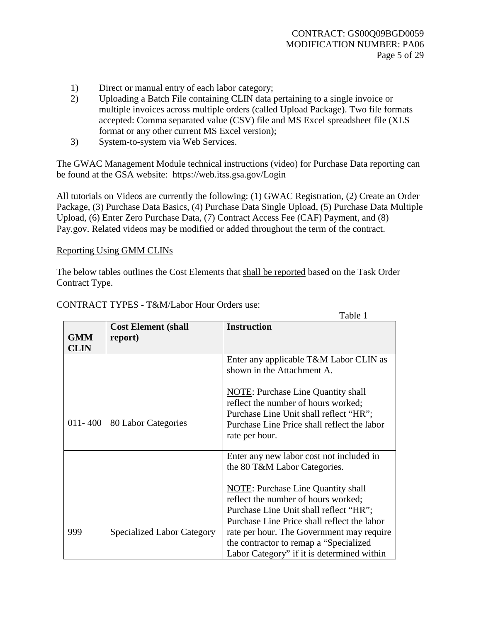- 1) Direct or manual entry of each labor category;
- 2) Uploading a Batch File containing CLIN data pertaining to a single invoice or multiple invoices across multiple orders (called Upload Package). Two file formats accepted: Comma separated value (CSV) file and MS Excel spreadsheet file (XLS format or any other current MS Excel version);
- 3) System-to-system via Web Services.

The GWAC Management Module technical instructions (video) for Purchase Data reporting can be found at the GSA website: https://web.itss.gsa.gov/Login

All tutorials on Videos are currently the following: (1) GWAC Registration, (2) Create an Order Package, (3) Purchase Data Basics, (4) Purchase Data Single Upload, (5) Purchase Data Multiple Upload, (6) Enter Zero Purchase Data, (7) Contract Access Fee (CAF) Payment, and (8) Pay.gov. Related videos may be modified or added throughout the term of the contract.

#### Reporting Using GMM CLINs

The below tables outlines the Cost Elements that shall be reported based on the Task Order Contract Type.

|             |                                   | Table 1                                                                                                                                                                                     |
|-------------|-----------------------------------|---------------------------------------------------------------------------------------------------------------------------------------------------------------------------------------------|
|             | <b>Cost Element (shall</b>        | <b>Instruction</b>                                                                                                                                                                          |
| GMM         | report)                           |                                                                                                                                                                                             |
| <b>CLIN</b> |                                   |                                                                                                                                                                                             |
|             |                                   | Enter any applicable T&M Labor CLIN as                                                                                                                                                      |
|             |                                   | shown in the Attachment A.                                                                                                                                                                  |
| $011 - 400$ | 80 Labor Categories               | <b>NOTE:</b> Purchase Line Quantity shall<br>reflect the number of hours worked;<br>Purchase Line Unit shall reflect "HR";<br>Purchase Line Price shall reflect the labor<br>rate per hour. |
|             |                                   | Enter any new labor cost not included in<br>the 80 T&M Labor Categories.                                                                                                                    |
|             |                                   | NOTE: Purchase Line Quantity shall<br>reflect the number of hours worked;<br>Purchase Line Unit shall reflect "HR";<br>Purchase Line Price shall reflect the labor                          |
| 999         | <b>Specialized Labor Category</b> | rate per hour. The Government may require<br>the contractor to remap a "Specialized"                                                                                                        |
|             |                                   | Labor Category" if it is determined within                                                                                                                                                  |

CONTRACT TYPES - T&M/Labor Hour Orders use: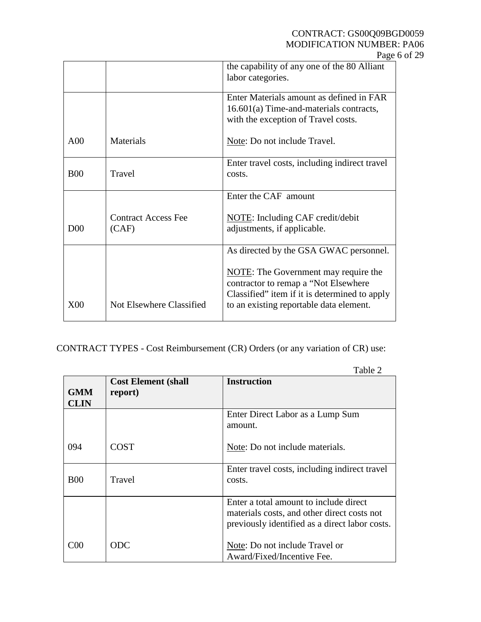| Page 6 of 29 |  |  |  |  |
|--------------|--|--|--|--|
|--------------|--|--|--|--|

|                 |                            | the capability of any one of the 80 Alliant                                                                                                                                     |
|-----------------|----------------------------|---------------------------------------------------------------------------------------------------------------------------------------------------------------------------------|
|                 |                            | labor categories.                                                                                                                                                               |
|                 |                            | Enter Materials amount as defined in FAR                                                                                                                                        |
|                 |                            | 16.601(a) Time-and-materials contracts,                                                                                                                                         |
|                 |                            | with the exception of Travel costs.                                                                                                                                             |
| A00             | Materials                  | Note: Do not include Travel.                                                                                                                                                    |
|                 |                            | Enter travel costs, including indirect travel                                                                                                                                   |
| <b>B00</b>      | Travel                     | costs.                                                                                                                                                                          |
|                 |                            | Enter the CAF amount                                                                                                                                                            |
|                 | <b>Contract Access Fee</b> | NOTE: Including CAF credit/debit                                                                                                                                                |
| D <sub>00</sub> | (CAF)                      | adjustments, if applicable.                                                                                                                                                     |
|                 |                            | As directed by the GSA GWAC personnel.                                                                                                                                          |
| <b>X00</b>      | Not Elsewhere Classified   | <b>NOTE:</b> The Government may require the<br>contractor to remap a "Not Elsewhere<br>Classified" item if it is determined to apply<br>to an existing reportable data element. |

CONTRACT TYPES - Cost Reimbursement (CR) Orders (or any variation of CR) use:

| Table |  |
|-------|--|
|-------|--|

|             | <b>Cost Element (shall</b> | <b>Instruction</b>                             |
|-------------|----------------------------|------------------------------------------------|
| <b>GMM</b>  | report)                    |                                                |
| <b>CLIN</b> |                            |                                                |
|             |                            | Enter Direct Labor as a Lump Sum               |
|             |                            | amount.                                        |
|             |                            |                                                |
| 094         | <b>COST</b>                | Note: Do not include materials.                |
|             |                            |                                                |
|             |                            | Enter travel costs, including indirect travel  |
| <b>B00</b>  | Travel                     | costs.                                         |
|             |                            |                                                |
|             |                            | Enter a total amount to include direct         |
|             |                            | materials costs, and other direct costs not    |
|             |                            | previously identified as a direct labor costs. |
|             |                            |                                                |
| C00         | <b>ODC</b>                 | Note: Do not include Travel or                 |
|             |                            | Award/Fixed/Incentive Fee.                     |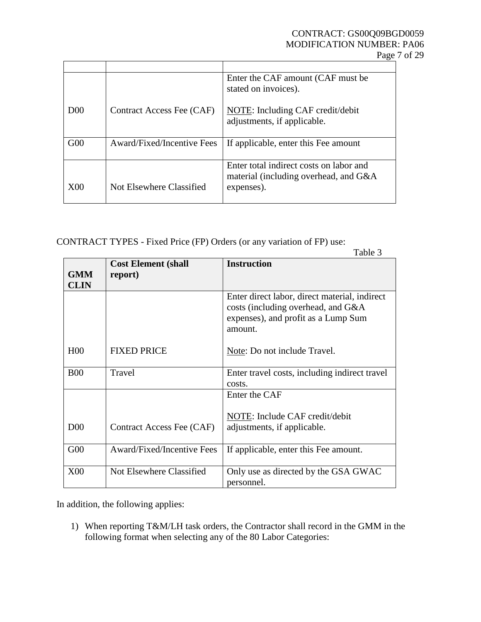| Page 7 of 29 |  |  |
|--------------|--|--|
|              |  |  |

|                 |                            | Enter the CAF amount (CAF must be<br>stated on invoices).                                      |
|-----------------|----------------------------|------------------------------------------------------------------------------------------------|
| D <sub>00</sub> | Contract Access Fee (CAF)  | <b>NOTE:</b> Including CAF credit/debit<br>adjustments, if applicable.                         |
| G00             | Award/Fixed/Incentive Fees | If applicable, enter this Fee amount                                                           |
| X <sub>00</sub> | Not Elsewhere Classified   | Enter total indirect costs on labor and<br>material (including overhead, and G&A<br>expenses). |

CONTRACT TYPES - Fixed Price (FP) Orders (or any variation of FP) use:

|                           |                                       | Table 3                                                                                                                               |
|---------------------------|---------------------------------------|---------------------------------------------------------------------------------------------------------------------------------------|
| <b>GMM</b><br><b>CLIN</b> | <b>Cost Element (shall</b><br>report) | <b>Instruction</b>                                                                                                                    |
|                           |                                       | Enter direct labor, direct material, indirect<br>costs (including overhead, and G&A<br>expenses), and profit as a Lump Sum<br>amount. |
| H <sub>00</sub>           | <b>FIXED PRICE</b>                    | Note: Do not include Travel.                                                                                                          |
| <b>B00</b>                | Travel                                | Enter travel costs, including indirect travel<br>costs.                                                                               |
| D <sub>00</sub>           | Contract Access Fee (CAF)             | Enter the CAF<br>NOTE: Include CAF credit/debit<br>adjustments, if applicable.                                                        |
| G <sub>00</sub>           | <b>Award/Fixed/Incentive Fees</b>     | If applicable, enter this Fee amount.                                                                                                 |
| <b>X00</b>                | Not Elsewhere Classified              | Only use as directed by the GSA GWAC<br>personnel.                                                                                    |

In addition, the following applies:

1) When reporting T&M/LH task orders, the Contractor shall record in the GMM in the following format when selecting any of the 80 Labor Categories: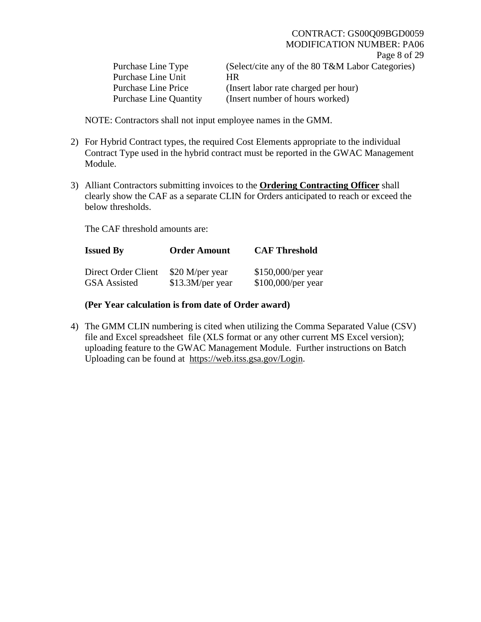|                               | <b>MODIFICATION NUMBER: PA06</b>                 |
|-------------------------------|--------------------------------------------------|
|                               | Page 8 of 29                                     |
| Purchase Line Type            | (Select/cite any of the 80 T&M Labor Categories) |
| Purchase Line Unit            | <b>HR</b>                                        |
| <b>Purchase Line Price</b>    | (Insert labor rate charged per hour)             |
| <b>Purchase Line Quantity</b> | (Insert number of hours worked)                  |

CONTRACT: GS00Q09BGD0059

NOTE: Contractors shall not input employee names in the GMM.

- 2) For Hybrid Contract types, the required Cost Elements appropriate to the individual Contract Type used in the hybrid contract must be reported in the GWAC Management Module.
- 3) Alliant Contractors submitting invoices to the **Ordering Contracting Officer** shall clearly show the CAF as a separate CLIN for Orders anticipated to reach or exceed the below thresholds.

The CAF threshold amounts are:

| <b>Issued By</b>    | <b>Order Amount</b> | <b>CAF Threshold</b> |
|---------------------|---------------------|----------------------|
| Direct Order Client | \$20 M/per year     | $$150,000/per$ year  |
| <b>GSA</b> Assisted | \$13.3M/per year    | $$100,000/per$ year  |

#### **(Per Year calculation is from date of Order award)**

4) The GMM CLIN numbering is cited when utilizing the Comma Separated Value (CSV) file and Excel spreadsheet file (XLS format or any other current MS Excel version); uploading feature to the GWAC Management Module. Further instructions on Batch Uploading can be found at https://web.itss.gsa.gov/Login.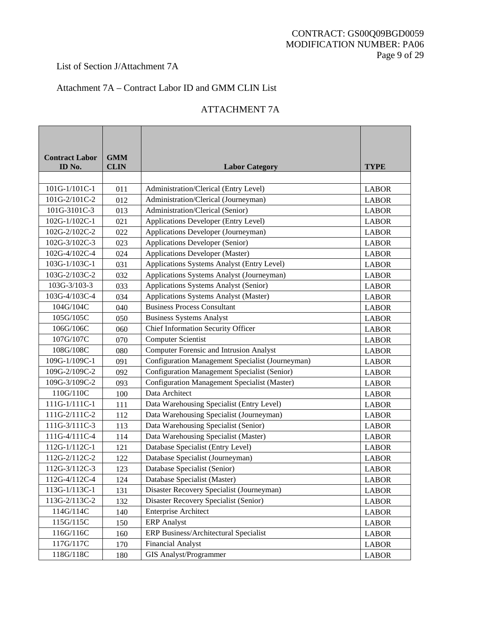### CONTRACT: GS00Q09BGD0059 MODIFICATION NUMBER: PA06 Page 9 of 29

## List of Section J/Attachment 7A

### Attachment 7A – Contract Labor ID and GMM CLIN List

## ATTACHMENT 7A

| <b>Contract Labor</b> | <b>GMM</b>  |                                                     |              |
|-----------------------|-------------|-----------------------------------------------------|--------------|
| ID No.                | <b>CLIN</b> | <b>Labor Category</b>                               | <b>TYPE</b>  |
|                       |             |                                                     |              |
| 101G-1/101C-1         | 011         | Administration/Clerical (Entry Level)               | <b>LABOR</b> |
| 101G-2/101C-2         | 012         | Administration/Clerical (Journeyman)                | <b>LABOR</b> |
| 101G-3101C-3          | 013         | Administration/Clerical (Senior)                    | <b>LABOR</b> |
| 102G-1/102C-1         | 021         | <b>Applications Developer (Entry Level)</b>         | <b>LABOR</b> |
| 102G-2/102C-2         | 022         | Applications Developer (Journeyman)                 | <b>LABOR</b> |
| 102G-3/102C-3         | 023         | Applications Developer (Senior)                     | <b>LABOR</b> |
| 102G-4/102C-4         | 024         | <b>Applications Developer (Master)</b>              | <b>LABOR</b> |
| 103G-1/103C-1         | 031         | Applications Systems Analyst (Entry Level)          | <b>LABOR</b> |
| 103G-2/103C-2         | 032         | Applications Systems Analyst (Journeyman)           | <b>LABOR</b> |
| 103G-3/103-3          | 033         | Applications Systems Analyst (Senior)               | <b>LABOR</b> |
| 103G-4/103C-4         | 034         | Applications Systems Analyst (Master)               | <b>LABOR</b> |
| 104G/104C             | 040         | <b>Business Process Consultant</b>                  | <b>LABOR</b> |
| 105G/105C             | 050         | <b>Business Systems Analyst</b>                     | <b>LABOR</b> |
| 106G/106C             | 060         | Chief Information Security Officer                  | <b>LABOR</b> |
| 107G/107C             | 070         | <b>Computer Scientist</b>                           | <b>LABOR</b> |
| 108G/108C             | 080         | <b>Computer Forensic and Intrusion Analyst</b>      | <b>LABOR</b> |
| 109G-1/109C-1         | 091         | Configuration Management Specialist (Journeyman)    | <b>LABOR</b> |
| 109G-2/109C-2         | 092         | <b>Configuration Management Specialist (Senior)</b> | <b>LABOR</b> |
| 109G-3/109C-2         | 093         | Configuration Management Specialist (Master)        | <b>LABOR</b> |
| 110G/110C             | 100         | Data Architect                                      | <b>LABOR</b> |
| 111G-1/111C-1         | 111         | Data Warehousing Specialist (Entry Level)           | <b>LABOR</b> |
| 111G-2/111C-2         | 112         | Data Warehousing Specialist (Journeyman)            | <b>LABOR</b> |
| 111G-3/111C-3         | 113         | Data Warehousing Specialist (Senior)                | <b>LABOR</b> |
| 111G-4/111C-4         | 114         | Data Warehousing Specialist (Master)                | <b>LABOR</b> |
| 112G-1/112C-1         | 121         | Database Specialist (Entry Level)                   | <b>LABOR</b> |
| 112G-2/112C-2         | 122         | Database Specialist (Journeyman)                    | <b>LABOR</b> |
| 112G-3/112C-3         | 123         | Database Specialist (Senior)                        | <b>LABOR</b> |
| 112G-4/112C-4         | 124         | Database Specialist (Master)                        | <b>LABOR</b> |
| 113G-1/113C-1         | 131         | Disaster Recovery Specialist (Journeyman)           | <b>LABOR</b> |
| 113G-2/113C-2         | 132         | Disaster Recovery Specialist (Senior)               | <b>LABOR</b> |
| 114G/114C             | 140         | <b>Enterprise Architect</b>                         | <b>LABOR</b> |
| 115G/115C             | 150         | <b>ERP</b> Analyst                                  | <b>LABOR</b> |
| 116G/116C             | 160         | ERP Business/Architectural Specialist               | <b>LABOR</b> |
| 117G/117C             | 170         | <b>Financial Analyst</b>                            | <b>LABOR</b> |
| 118G/118C             | 180         | GIS Analyst/Programmer                              | <b>LABOR</b> |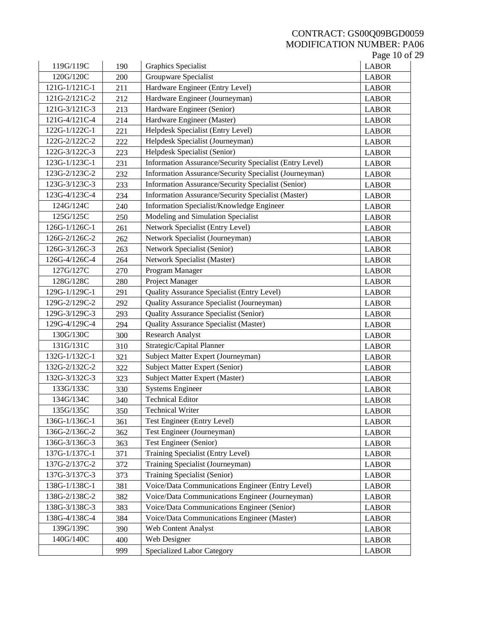| Page 10 of 29 |  |  |
|---------------|--|--|

| 119G/119C     | 190 | Graphics Specialist                                     | <b>LABOR</b> |
|---------------|-----|---------------------------------------------------------|--------------|
| 120G/120C     | 200 | Groupware Specialist                                    | <b>LABOR</b> |
| 121G-1/121C-1 | 211 | Hardware Engineer (Entry Level)                         | <b>LABOR</b> |
| 121G-2/121C-2 | 212 | Hardware Engineer (Journeyman)                          | <b>LABOR</b> |
| 121G-3/121C-3 | 213 | Hardware Engineer (Senior)                              | <b>LABOR</b> |
| 121G-4/121C-4 | 214 | Hardware Engineer (Master)                              | <b>LABOR</b> |
| 122G-1/122C-1 | 221 | Helpdesk Specialist (Entry Level)                       | <b>LABOR</b> |
| 122G-2/122C-2 | 222 | Helpdesk Specialist (Journeyman)                        | <b>LABOR</b> |
| 122G-3/122C-3 | 223 | Helpdesk Specialist (Senior)                            | <b>LABOR</b> |
| 123G-1/123C-1 | 231 | Information Assurance/Security Specialist (Entry Level) | <b>LABOR</b> |
| 123G-2/123C-2 | 232 | Information Assurance/Security Specialist (Journeyman)  | <b>LABOR</b> |
| 123G-3/123C-3 | 233 | Information Assurance/Security Specialist (Senior)      | <b>LABOR</b> |
| 123G-4/123C-4 | 234 | Information Assurance/Security Specialist (Master)      | <b>LABOR</b> |
| 124G/124C     | 240 | Information Specialist/Knowledge Engineer               | <b>LABOR</b> |
| 125G/125C     | 250 | Modeling and Simulation Specialist                      | <b>LABOR</b> |
| 126G-1/126C-1 | 261 | Network Specialist (Entry Level)                        | <b>LABOR</b> |
| 126G-2/126C-2 | 262 | Network Specialist (Journeyman)                         | <b>LABOR</b> |
| 126G-3/126C-3 | 263 | Network Specialist (Senior)                             | <b>LABOR</b> |
| 126G-4/126C-4 | 264 | Network Specialist (Master)                             | <b>LABOR</b> |
| 127G/127C     | 270 | Program Manager                                         | <b>LABOR</b> |
| 128G/128C     | 280 | Project Manager                                         | <b>LABOR</b> |
| 129G-1/129C-1 | 291 | Quality Assurance Specialist (Entry Level)              | <b>LABOR</b> |
| 129G-2/129C-2 | 292 | Quality Assurance Specialist (Journeyman)               | <b>LABOR</b> |
| 129G-3/129C-3 | 293 | Quality Assurance Specialist (Senior)                   | <b>LABOR</b> |
| 129G-4/129C-4 | 294 | Quality Assurance Specialist (Master)                   | <b>LABOR</b> |
| 130G/130C     | 300 | <b>Research Analyst</b>                                 | <b>LABOR</b> |
| 131G/131C     | 310 | Strategic/Capital Planner                               | <b>LABOR</b> |
| 132G-1/132C-1 | 321 | Subject Matter Expert (Journeyman)                      | <b>LABOR</b> |
| 132G-2/132C-2 | 322 | Subject Matter Expert (Senior)                          | <b>LABOR</b> |
| 132G-3/132C-3 | 323 | Subject Matter Expert (Master)                          | <b>LABOR</b> |
| 133G/133C     | 330 | <b>Systems Engineer</b>                                 | <b>LABOR</b> |
| 134G/134C     | 340 | <b>Technical Editor</b>                                 | <b>LABOR</b> |
| 135G/135C     | 350 | <b>Technical Writer</b>                                 | <b>LABOR</b> |
| 136G-1/136C-1 | 361 | Test Engineer (Entry Level)                             | <b>LABOR</b> |
| 136G-2/136C-2 | 362 | Test Engineer (Journeyman)                              | <b>LABOR</b> |
| 136G-3/136C-3 | 363 | Test Engineer (Senior)                                  | <b>LABOR</b> |
| 137G-1/137C-1 | 371 | Training Specialist (Entry Level)                       | <b>LABOR</b> |
| 137G-2/137C-2 | 372 | Training Specialist (Journeyman)                        | <b>LABOR</b> |
| 137G-3/137C-3 | 373 | Training Specialist (Senior)                            | <b>LABOR</b> |
| 138G-1/138C-1 | 381 | Voice/Data Communications Engineer (Entry Level)        | <b>LABOR</b> |
| 138G-2/138C-2 | 382 | Voice/Data Communications Engineer (Journeyman)         | <b>LABOR</b> |
| 138G-3/138C-3 | 383 | Voice/Data Communications Engineer (Senior)             | <b>LABOR</b> |
| 138G-4/138C-4 | 384 | Voice/Data Communications Engineer (Master)             | <b>LABOR</b> |
| 139G/139C     | 390 | Web Content Analyst                                     | <b>LABOR</b> |
| 140G/140C     | 400 | Web Designer                                            | <b>LABOR</b> |
|               | 999 | <b>Specialized Labor Category</b>                       | <b>LABOR</b> |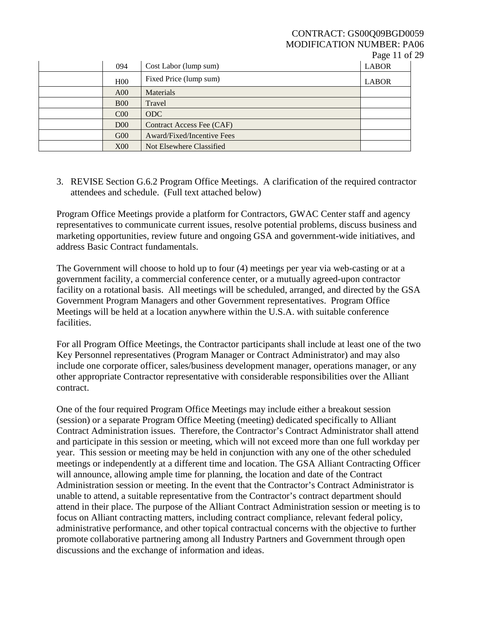| Page 11 of 29 |  |
|---------------|--|
|---------------|--|

| 094             | Cost Labor (lump sum)      | $\frac{1}{2}$ $\frac{1}{2}$ $\frac{1}{2}$ $\frac{1}{2}$ $\frac{1}{2}$<br><b>LABOR</b> |
|-----------------|----------------------------|---------------------------------------------------------------------------------------|
| H <sub>00</sub> | Fixed Price (lump sum)     | <b>LABOR</b>                                                                          |
| A <sub>00</sub> | <b>Materials</b>           |                                                                                       |
| <b>B00</b>      | Travel                     |                                                                                       |
| CO <sub>0</sub> | <b>ODC</b>                 |                                                                                       |
| D <sub>00</sub> | Contract Access Fee (CAF)  |                                                                                       |
| G <sub>00</sub> | Award/Fixed/Incentive Fees |                                                                                       |
| <b>X00</b>      | Not Elsewhere Classified   |                                                                                       |

3. REVISE Section G.6.2 Program Office Meetings. A clarification of the required contractor attendees and schedule. (Full text attached below)

Program Office Meetings provide a platform for Contractors, GWAC Center staff and agency representatives to communicate current issues, resolve potential problems, discuss business and marketing opportunities, review future and ongoing GSA and government-wide initiatives, and address Basic Contract fundamentals.

The Government will choose to hold up to four (4) meetings per year via web-casting or at a government facility, a commercial conference center, or a mutually agreed-upon contractor facility on a rotational basis. All meetings will be scheduled, arranged, and directed by the GSA Government Program Managers and other Government representatives. Program Office Meetings will be held at a location anywhere within the U.S.A. with suitable conference facilities.

For all Program Office Meetings, the Contractor participants shall include at least one of the two Key Personnel representatives (Program Manager or Contract Administrator) and may also include one corporate officer, sales/business development manager, operations manager, or any other appropriate Contractor representative with considerable responsibilities over the Alliant contract.

One of the four required Program Office Meetings may include either a breakout session (session) or a separate Program Office Meeting (meeting) dedicated specifically to Alliant Contract Administration issues. Therefore, the Contractor's Contract Administrator shall attend and participate in this session or meeting, which will not exceed more than one full workday per year. This session or meeting may be held in conjunction with any one of the other scheduled meetings or independently at a different time and location. The GSA Alliant Contracting Officer will announce, allowing ample time for planning, the location and date of the Contract Administration session or meeting. In the event that the Contractor's Contract Administrator is unable to attend, a suitable representative from the Contractor's contract department should attend in their place. The purpose of the Alliant Contract Administration session or meeting is to focus on Alliant contracting matters, including contract compliance, relevant federal policy, administrative performance, and other topical contractual concerns with the objective to further promote collaborative partnering among all Industry Partners and Government through open discussions and the exchange of information and ideas.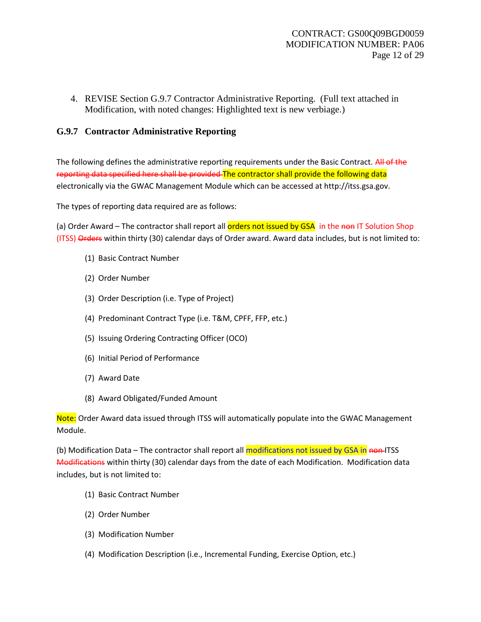4. REVISE Section G.9.7 Contractor Administrative Reporting. (Full text attached in Modification, with noted changes: Highlighted text is new verbiage.)

#### **G.9.7 Contractor Administrative Reporting**

The following defines the administrative reporting requirements under the Basic Contract. All of the reporting data specified here shall be provided The contractor shall provide the following data electronically via the GWAC Management Module which can be accessed at http://itss.gsa.gov.

The types of reporting data required are as follows:

(a) Order Award – The contractor shall report all **orders not issued by GSA** in the non IT Solution Shop (ITSS) Orders within thirty (30) calendar days of Order award. Award data includes, but is not limited to:

- (1) Basic Contract Number
- (2) Order Number
- (3) Order Description (i.e. Type of Project)
- (4) Predominant Contract Type (i.e. T&M, CPFF, FFP, etc.)
- (5) Issuing Ordering Contracting Officer (OCO)
- (6) Initial Period of Performance
- (7) Award Date
- (8) Award Obligated/Funded Amount

Note: Order Award data issued through ITSS will automatically populate into the GWAC Management Module.

(b) Modification Data – The contractor shall report all modifications not issued by GSA in non-ITSS Modifications within thirty (30) calendar days from the date of each Modification. Modification data includes, but is not limited to:

- (1) Basic Contract Number
- (2) Order Number
- (3) Modification Number
- (4) Modification Description (i.e., Incremental Funding, Exercise Option, etc.)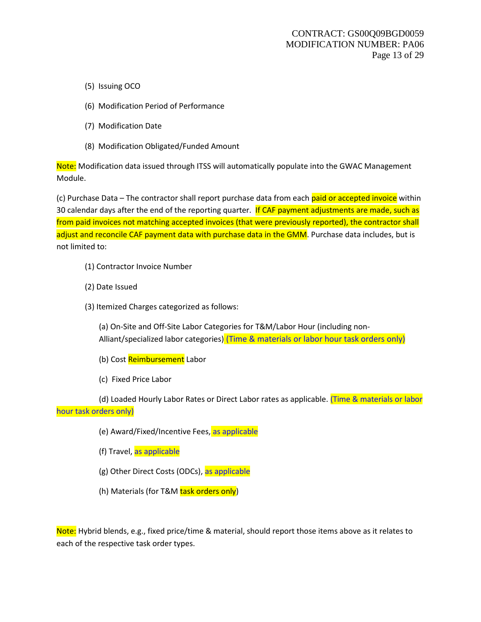- (5) Issuing OCO
- (6) Modification Period of Performance
- (7) Modification Date
- (8) Modification Obligated/Funded Amount

Note: Modification data issued through ITSS will automatically populate into the GWAC Management Module.

(c) Purchase Data – The contractor shall report purchase data from each paid or accepted invoice within 30 calendar days after the end of the reporting quarter. If CAF payment adjustments are made, such as from paid invoices not matching accepted invoices (that were previously reported), the contractor shall adjust and reconcile CAF payment data with purchase data in the GMM. Purchase data includes, but is not limited to:

- (1) Contractor Invoice Number
- (2) Date Issued
- (3) Itemized Charges categorized as follows:

(a) On-Site and Off-Site Labor Categories for T&M/Labor Hour (including non-Alliant/specialized labor categories) (Time & materials or labor hour task orders only)

- (b) Cost Reimbursement Labor
- (c) Fixed Price Labor

(d) Loaded Hourly Labor Rates or Direct Labor rates as applicable. (Time & materials or labor hour task orders only)

- (e) Award/Fixed/Incentive Fees, as applicable
- (f) Travel, as applicable
- (g) Other Direct Costs (ODCs), as applicable
- (h) Materials (for T&M task orders only)

Note: Hybrid blends, e.g., fixed price/time & material, should report those items above as it relates to each of the respective task order types.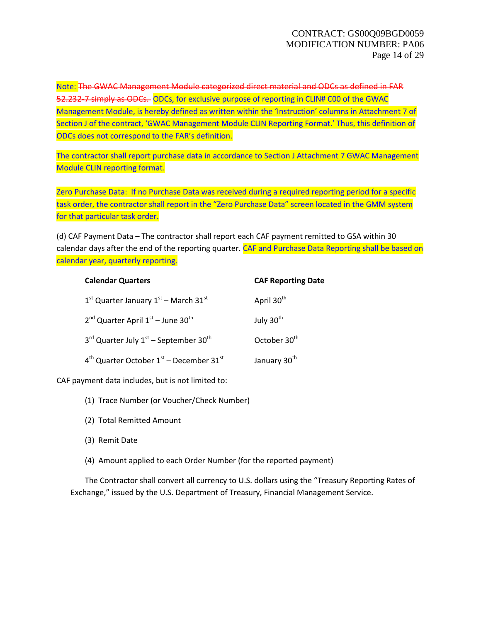Note: The GWAC Management Module categorized direct material and ODCs as defined in FAR 52.232-7 simply as ODCs. ODCs, for exclusive purpose of reporting in CLIN# C00 of the GWAC Management Module, is hereby defined as written within the 'Instruction' columns in Attachment 7 of Section J of the contract, 'GWAC Management Module CLIN Reporting Format.' Thus, this definition of ODCs does not correspond to the FAR's definition.

The contractor shall report purchase data in accordance to Section J Attachment 7 GWAC Management Module CLIN reporting format.

Zero Purchase Data: If no Purchase Data was received during a required reporting period for a specific task order, the contractor shall report in the "Zero Purchase Data" screen located in the GMM system for that particular task order.

(d) CAF Payment Data – The contractor shall report each CAF payment remitted to GSA within 30 calendar days after the end of the reporting quarter. CAF and Purchase Data Reporting shall be based on calendar year, quarterly reporting.

| <b>Calendar Quarters</b>                                | <b>CAF Reporting Date</b> |
|---------------------------------------------------------|---------------------------|
| $1st$ Quarter January $1st$ – March 31 <sup>st</sup>    | April 30 <sup>th</sup>    |
| $2^{nd}$ Quarter April $1^{st}$ – June 30 <sup>th</sup> | July 30 <sup>th</sup>     |
| $3rd$ Quarter July $1st$ – September 30 <sup>th</sup>   | October 30 <sup>th</sup>  |
| $4th$ Quarter October $1st$ – December 31 <sup>st</sup> | January 30th              |

CAF payment data includes, but is not limited to:

- (1) Trace Number (or Voucher/Check Number)
- (2) Total Remitted Amount
- (3) Remit Date
- (4) Amount applied to each Order Number (for the reported payment)

The Contractor shall convert all currency to U.S. dollars using the "Treasury Reporting Rates of Exchange," issued by the U.S. Department of Treasury, Financial Management Service.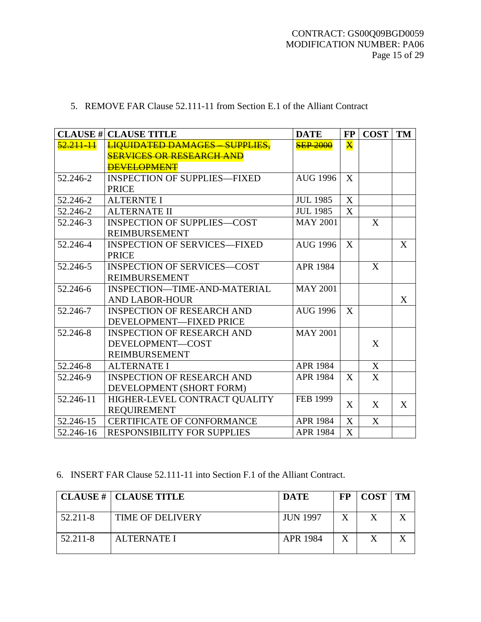## 5. REMOVE FAR Clause 52.111-11 from Section E.1 of the Alliant Contract

|                      | <b>CLAUSE # CLAUSE TITLE</b>                                                  | <b>DATE</b>     | $\bf FP$ | <b>COST</b> | <b>TM</b> |
|----------------------|-------------------------------------------------------------------------------|-----------------|----------|-------------|-----------|
| <del>52.211-11</del> | <b>LIQUIDATED DAMAGES - SUPPLIES,</b>                                         | <b>SEP 2000</b> | $\bf{X}$ |             |           |
|                      | <b>SERVICES OR RESEARCH AND</b>                                               |                 |          |             |           |
|                      | <b>DEVELOPMENT</b>                                                            |                 |          |             |           |
| 52.246-2             | <b>INSPECTION OF SUPPLIES-FIXED</b><br><b>PRICE</b>                           | <b>AUG 1996</b> | X        |             |           |
| 52.246-2             | <b>ALTERNTE I</b>                                                             | <b>JUL 1985</b> | X        |             |           |
| 52.246-2             | <b>ALTERNATE II</b>                                                           | <b>JUL 1985</b> | X        |             |           |
| 52.246-3             | <b>INSPECTION OF SUPPLIES-COST</b><br><b>REIMBURSEMENT</b>                    | <b>MAY 2001</b> |          | X           |           |
| 52.246-4             | <b>INSPECTION OF SERVICES-FIXED</b><br><b>PRICE</b>                           | <b>AUG 1996</b> | X        |             | X         |
| 52.246-5             | <b>INSPECTION OF SERVICES-COST</b><br><b>REIMBURSEMENT</b>                    | <b>APR 1984</b> |          | X           |           |
| 52.246-6             | INSPECTION-TIME-AND-MATERIAL<br><b>AND LABOR-HOUR</b>                         | <b>MAY 2001</b> |          |             | X         |
| 52.246-7             | <b>INSPECTION OF RESEARCH AND</b><br>DEVELOPMENT-FIXED PRICE                  | <b>AUG 1996</b> | X        |             |           |
| 52.246-8             | <b>INSPECTION OF RESEARCH AND</b><br>DEVELOPMENT-COST<br><b>REIMBURSEMENT</b> | <b>MAY 2001</b> |          | X           |           |
| 52.246-8             | <b>ALTERNATE I</b>                                                            | <b>APR 1984</b> |          | X           |           |
| 52.246-9             | <b>INSPECTION OF RESEARCH AND</b><br>DEVELOPMENT (SHORT FORM)                 | <b>APR 1984</b> | X        | X           |           |
| 52.246-11            | HIGHER-LEVEL CONTRACT QUALITY<br><b>REQUIREMENT</b>                           | <b>FEB 1999</b> | X        | X           | X         |
| 52.246-15            | <b>CERTIFICATE OF CONFORMANCE</b>                                             | <b>APR 1984</b> | X        | X           |           |
| 52.246-16            | <b>RESPONSIBILITY FOR SUPPLIES</b>                                            | <b>APR 1984</b> | X        |             |           |

## 6. INSERT FAR Clause 52.111-11 into Section F.1 of the Alliant Contract.

|          | <b>CLAUSE #   CLAUSE TITLE</b> | <b>DATE</b>     | <b>FP</b> | $ $ COST $ $ TM |             |
|----------|--------------------------------|-----------------|-----------|-----------------|-------------|
| 52.211-8 | <b>TIME OF DELIVERY</b>        | <b>JUN 1997</b> |           |                 | $\mathbf v$ |
| 52.211-8 | ALTERNATE I                    | <b>APR 1984</b> |           |                 |             |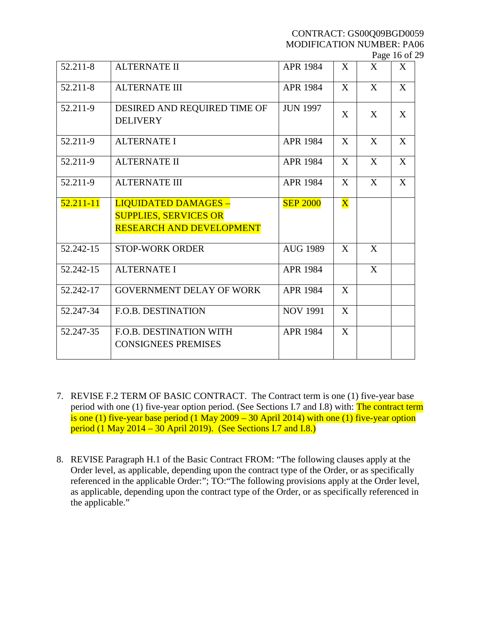#### CONTRACT: GS00Q09BGD0059 MODIFICATION NUMBER: PA06 Page 16 of 29

| $52.211 - 8$  | <b>ALTERNATE II</b>                                                                            | <b>APR 1984</b> | X           | X | $\mathbf{X}$ |
|---------------|------------------------------------------------------------------------------------------------|-----------------|-------------|---|--------------|
| 52.211-8      | <b>ALTERNATE III</b>                                                                           | <b>APR 1984</b> | X           | X | X            |
| 52.211-9      | DESIRED AND REQUIRED TIME OF<br><b>DELIVERY</b>                                                | <b>JUN 1997</b> | X           | X | X            |
| 52.211-9      | <b>ALTERNATE I</b>                                                                             | <b>APR 1984</b> | X           | X | X            |
| 52.211-9      | <b>ALTERNATE II</b>                                                                            | <b>APR 1984</b> | X           | X | X            |
| 52.211-9      | <b>ALTERNATE III</b>                                                                           | <b>APR 1984</b> | X           | X | X            |
| $52.211 - 11$ | <b>LIQUIDATED DAMAGES -</b><br><b>SUPPLIES, SERVICES OR</b><br><b>RESEARCH AND DEVELOPMENT</b> | <b>SEP 2000</b> | $\mathbf X$ |   |              |
| 52.242-15     | <b>STOP-WORK ORDER</b>                                                                         | <b>AUG 1989</b> | X           | X |              |
| 52.242-15     | <b>ALTERNATE I</b>                                                                             | <b>APR 1984</b> |             | X |              |
| 52.242-17     | <b>GOVERNMENT DELAY OF WORK</b>                                                                | <b>APR 1984</b> | X           |   |              |
| 52.247-34     | <b>F.O.B. DESTINATION</b>                                                                      | <b>NOV 1991</b> | X           |   |              |
| 52.247-35     | F.O.B. DESTINATION WITH<br><b>CONSIGNEES PREMISES</b>                                          | <b>APR 1984</b> | X           |   |              |

- 7. REVISE F.2 TERM OF BASIC CONTRACT. The Contract term is one (1) five-year base period with one (1) five-year option period. (See Sections I.7 and I.8) with: The contract term is one (1) five-year base period (1 May 2009 – 30 April 2014) with one (1) five-year option period (1 May 2014 – 30 April 2019). (See Sections I.7 and I.8.)
- 8. REVISE Paragraph H.1 of the Basic Contract FROM: "The following clauses apply at the Order level, as applicable, depending upon the contract type of the Order, or as specifically referenced in the applicable Order:"; TO:"The following provisions apply at the Order level, as applicable, depending upon the contract type of the Order, or as specifically referenced in the applicable."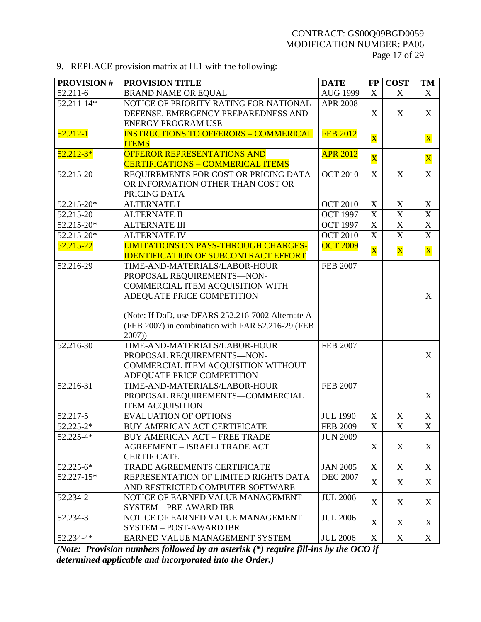9. REPLACE provision matrix at H.1 with the following:

| <b>PROVISION#</b> | <b>PROVISION TITLE</b>                            | <b>DATE</b>           | $\bf FP$                | <b>COST</b>               | <b>TM</b>                 |
|-------------------|---------------------------------------------------|-----------------------|-------------------------|---------------------------|---------------------------|
| 52.211-6          | <b>BRAND NAME OR EQUAL</b>                        | <b>AUG 1999</b>       | $\boldsymbol{X}$        | X                         | X                         |
| 52.211-14*        | NOTICE OF PRIORITY RATING FOR NATIONAL            | <b>APR 2008</b>       |                         |                           |                           |
|                   | DEFENSE, EMERGENCY PREPAREDNESS AND               |                       | X                       | X                         | X                         |
|                   | <b>ENERGY PROGRAM USE</b>                         |                       |                         |                           |                           |
| $52.212 - 1$      | <b>INSTRUCTIONS TO OFFERORS - COMMERICAL</b>      | <b>FEB 2012</b>       | $\overline{\mathbf{X}}$ |                           | $\overline{\textbf{X}}$   |
|                   | <b>ITEMS</b>                                      |                       |                         |                           |                           |
| $52.212 - 3*$     | OFFEROR REPRESENTATIONS AND                       | <b>APR 2012</b>       | $\overline{\text{X}}$   |                           | $\overline{\textbf{X}}$   |
|                   | <b>CERTIFICATIONS - COMMERICAL ITEMS</b>          |                       |                         |                           |                           |
| 52.215-20         | REQUIREMENTS FOR COST OR PRICING DATA             | <b>OCT 2010</b>       | X                       | X                         | $\overline{X}$            |
|                   | OR INFORMATION OTHER THAN COST OR                 |                       |                         |                           |                           |
|                   | PRICING DATA                                      |                       |                         |                           |                           |
| $52.215 - 20*$    | <b>ALTERNATE I</b>                                | <b>OCT 2010</b>       | $\mathbf X$             | $\mathbf X$               | X                         |
| 52.215-20         | <b>ALTERNATE II</b>                               | <b>OCT 1997</b>       | $\overline{X}$          | $\boldsymbol{\mathrm{X}}$ | $\mathbf X$               |
| 52.215-20*        | <b>ALTERNATE III</b>                              | <b>OCT 1997</b>       | $\mathbf X$             | $\boldsymbol{\mathrm{X}}$ | X                         |
| 52.215-20*        | <b>ALTERNATE IV</b>                               | $\overline{OCT}$ 2010 | $\overline{X}$          | $\mathbf X$               | $\mathbf X$               |
| 52.215-22         | <b>LIMITATIONS ON PASS-THROUGH CHARGES-</b>       | <b>OCT 2009</b>       | $\overline{\textbf{X}}$ | $\overline{\textbf{X}}$   | $\overline{\textbf{X}}$   |
|                   | <b>IDENTIFICATION OF SUBCONTRACT EFFORT</b>       |                       |                         |                           |                           |
| 52.216-29         | TIME-AND-MATERIALS/LABOR-HOUR                     | <b>FEB 2007</b>       |                         |                           |                           |
|                   | PROPOSAL REQUIREMENTS-NON-                        |                       |                         |                           |                           |
|                   | COMMERCIAL ITEM ACQUISITION WITH                  |                       |                         |                           |                           |
|                   | ADEQUATE PRICE COMPETITION                        |                       |                         |                           | X                         |
|                   |                                                   |                       |                         |                           |                           |
|                   | (Note: If DoD, use DFARS 252.216-7002 Alternate A |                       |                         |                           |                           |
|                   | (FEB 2007) in combination with FAR 52.216-29 (FEB |                       |                         |                           |                           |
|                   | 2007)                                             |                       |                         |                           |                           |
| 52.216-30         | TIME-AND-MATERIALS/LABOR-HOUR                     | <b>FEB 2007</b>       |                         |                           |                           |
|                   | PROPOSAL REQUIREMENTS-NON-                        |                       |                         |                           | X                         |
|                   | COMMERCIAL ITEM ACQUISITION WITHOUT               |                       |                         |                           |                           |
|                   | ADEQUATE PRICE COMPETITION                        |                       |                         |                           |                           |
| 52.216-31         | TIME-AND-MATERIALS/LABOR-HOUR                     | <b>FEB 2007</b>       |                         |                           |                           |
|                   | PROPOSAL REQUIREMENTS-COMMERCIAL                  |                       |                         |                           | X                         |
|                   | <b>ITEM ACQUISITION</b>                           |                       |                         |                           |                           |
| 52.217-5          | <b>EVALUATION OF OPTIONS</b>                      | <b>JUL 1990</b>       | $\mathbf X$             | $\mathbf X$               | $\boldsymbol{\mathrm{X}}$ |
| 52.225-2*         | BUY AMERICAN ACT CERTIFICATE                      | <b>FEB 2009</b>       | $\overline{X}$          | $\overline{\mathbf{X}}$   | $\mathbf X$               |
| 52.225-4*         | <b>BUY AMERICAN ACT - FREE TRADE</b>              | <b>JUN 2009</b>       |                         |                           |                           |
|                   | <b>AGREEMENT - ISRAELI TRADE ACT</b>              |                       | X                       | X                         | X                         |
|                   | <b>CERTIFICATE</b>                                |                       |                         |                           |                           |
| $52.225 - 6*$     | TRADE AGREEMENTS CERTIFICATE                      | <b>JAN 2005</b>       | $\mathbf X$             | X                         | X                         |
| 52.227-15*        | REPRESENTATION OF LIMITED RIGHTS DATA             | <b>DEC 2007</b>       |                         |                           |                           |
|                   | AND RESTRICTED COMPUTER SOFTWARE                  |                       | X                       | X                         | X                         |
| 52.234-2          | NOTICE OF EARNED VALUE MANAGEMENT                 | <b>JUL 2006</b>       |                         |                           |                           |
|                   | <b>SYSTEM - PRE-AWARD IBR</b>                     |                       | X                       | X                         | X                         |
| 52.234-3          | NOTICE OF EARNED VALUE MANAGEMENT                 | <b>JUL 2006</b>       |                         |                           |                           |
|                   | <b>SYSTEM - POST-AWARD IBR</b>                    |                       | X                       | X                         | X                         |
| $52.234 - 4*$     | EARNED VALUE MANAGEMENT SYSTEM                    | <b>JUL 2006</b>       | X                       | X                         | X                         |
|                   |                                                   |                       |                         |                           |                           |

*(Note: Provision numbers followed by an asterisk (\*) require fill-ins by the OCO if determined applicable and incorporated into the Order.)*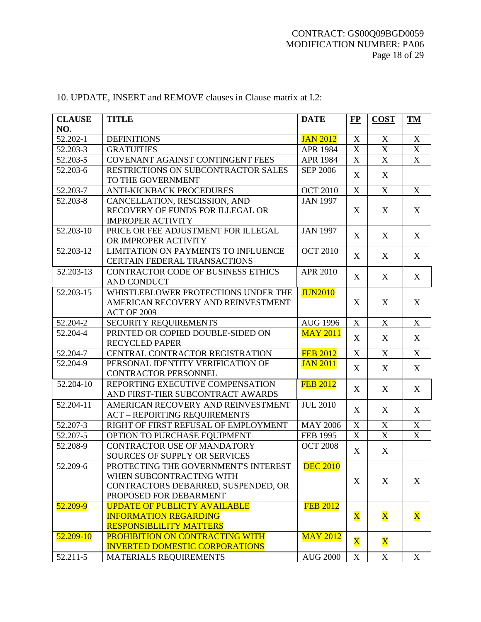| <b>CLAUSE</b><br>NO. | <b>TITLE</b>                                                                                                                      | <b>DATE</b>     | $\bf FP$                | <b>COST</b>             | <b>TM</b>               |
|----------------------|-----------------------------------------------------------------------------------------------------------------------------------|-----------------|-------------------------|-------------------------|-------------------------|
| 52.202-1             | <b>DEFINITIONS</b>                                                                                                                | <b>JAN 2012</b> | X                       | X                       | $\mathbf X$             |
| 52.203-3             | <b>GRATUITIES</b>                                                                                                                 | APR 1984        | $\mathbf X$             | $\overline{X}$          | $\overline{\mathbf{X}}$ |
| 52.203-5             | <b>COVENANT AGAINST CONTINGENT FEES</b>                                                                                           | <b>APR 1984</b> | $\mathbf X$             | $\mathbf X$             | X                       |
| 52.203-6             | RESTRICTIONS ON SUBCONTRACTOR SALES<br>TO THE GOVERNMENT                                                                          | <b>SEP 2006</b> | X                       | X                       |                         |
| 52.203-7             | <b>ANTI-KICKBACK PROCEDURES</b>                                                                                                   | <b>OCT 2010</b> | $\mathbf X$             | $\mathbf X$             | $\mathbf X$             |
| 52.203-8             | CANCELLATION, RESCISSION, AND<br>RECOVERY OF FUNDS FOR ILLEGAL OR<br><b>IMPROPER ACTIVITY</b>                                     | <b>JAN 1997</b> | X                       | X                       | X                       |
| 52.203-10            | PRICE OR FEE ADJUSTMENT FOR ILLEGAL<br>OR IMPROPER ACTIVITY                                                                       | <b>JAN 1997</b> | X                       | X                       | X                       |
| 52.203-12            | LIMITATION ON PAYMENTS TO INFLUENCE<br><b>CERTAIN FEDERAL TRANSACTIONS</b>                                                        | <b>OCT 2010</b> | X                       | X                       | X                       |
| 52.203-13            | <b>CONTRACTOR CODE OF BUSINESS ETHICS</b><br><b>AND CONDUCT</b>                                                                   | APR 2010        | X                       | X                       | X                       |
| 52.203-15            | WHISTLEBLOWER PROTECTIONS UNDER THE<br>AMERICAN RECOVERY AND REINVESTMENT<br><b>ACT OF 2009</b>                                   | <b>JUN2010</b>  | X                       | X                       | X                       |
| 52.204-2             | <b>SECURITY REQUIREMENTS</b>                                                                                                      | <b>AUG 1996</b> | X                       | X                       | $\mathbf X$             |
| 52.204-4             | PRINTED OR COPIED DOUBLE-SIDED ON<br><b>RECYCLED PAPER</b>                                                                        | <b>MAY 2011</b> | X                       | X                       | X                       |
| 52.204-7             | CENTRAL CONTRACTOR REGISTRATION                                                                                                   | <b>FEB 2012</b> | X                       | X                       | X                       |
| 52.204-9             | PERSONAL IDENTITY VERIFICATION OF<br><b>CONTRACTOR PERSONNEL</b>                                                                  | <b>JAN 2011</b> | X                       | X                       | X                       |
| 52.204-10            | REPORTING EXECUTIVE COMPENSATION<br>AND FIRST-TIER SUBCONTRACT AWARDS                                                             | <b>FEB 2012</b> | X                       | X                       | X                       |
| 52.204-11            | AMERICAN RECOVERY AND REINVESTMENT<br><b>ACT - REPORTING REQUIREMENTS</b>                                                         | <b>JUL 2010</b> | X                       | X                       | X                       |
| $52.207 - 3$         | RIGHT OF FIRST REFUSAL OF EMPLOYMENT                                                                                              | <b>MAY 2006</b> | $\mathbf X$             | $\overline{\mathbf{X}}$ | $\mathbf X$             |
| 52.207-5             | OPTION TO PURCHASE EQUIPMENT                                                                                                      | FEB 1995        | $\mathbf X$             | $\mathbf X$             | X                       |
| 52.208-9             | <b>CONTRACTOR USE OF MANDATORY</b><br>SOURCES OF SUPPLY OR SERVICES                                                               | <b>OCT 2008</b> | X                       | X                       |                         |
| 52.209-6             | PROTECTING THE GOVERNMENT'S INTEREST<br>WHEN SUBCONTRACTING WITH<br>CONTRACTORS DEBARRED, SUSPENDED, OR<br>PROPOSED FOR DEBARMENT | <b>DEC 2010</b> | X                       | X                       | X                       |
| 52.209-9             | <b>UPDATE OF PUBLICTY AVAILABLE</b><br><b>INFORMATION REGARDING</b><br><b>RESPONSIBLILITY MATTERS</b>                             | <b>FEB 2012</b> | $\overline{\mathbf{X}}$ | $\mathbf X$             | $\overline{\textbf{X}}$ |
| 52.209-10            | <b>PROHIBITION ON CONTRACTING WITH</b><br><b>INVERTED DOMESTIC CORPORATIONS</b>                                                   | <b>MAY 2012</b> | $\overline{\text{X}}$   | $\overline{\mathbf{X}}$ |                         |
| 52.211-5             | MATERIALS REQUIREMENTS                                                                                                            | <b>AUG 2000</b> | X                       | X                       | X                       |

## 10. UPDATE, INSERT and REMOVE clauses in Clause matrix at I.2: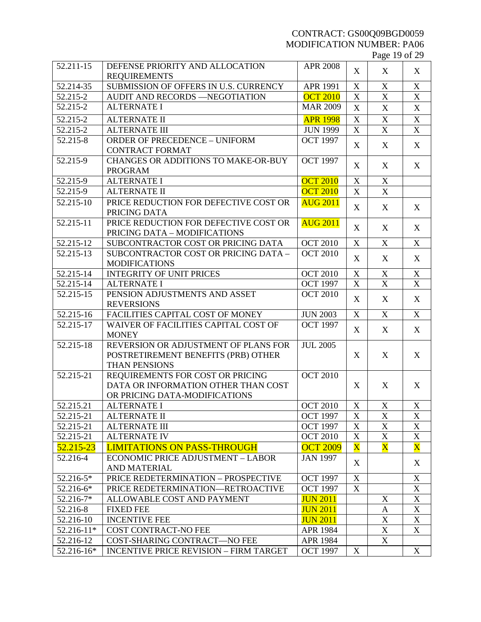| Page 19 of 29 |  |  |
|---------------|--|--|
|---------------|--|--|

| 52.211-15             | DEFENSE PRIORITY AND ALLOCATION                                         | <b>APR 2008</b>             | X                         | X                       | X                         |
|-----------------------|-------------------------------------------------------------------------|-----------------------------|---------------------------|-------------------------|---------------------------|
|                       | <b>REQUIREMENTS</b>                                                     |                             | $\mathbf X$               | $\mathbf X$             | $\mathbf X$               |
| 52.214-35<br>52.215-2 | SUBMISSION OF OFFERS IN U.S. CURRENCY<br>AUDIT AND RECORDS -NEGOTIATION | APR 1991<br><b>OCT 2010</b> | $\mathbf X$               | $\mathbf X$             | $\mathbf X$               |
| 52.215-2              | <b>ALTERNATE I</b>                                                      | <b>MAR 2009</b>             |                           |                         |                           |
|                       |                                                                         |                             | $\mathbf X$               | $\mathbf X$             | $\mathbf X$               |
| 52.215-2              | <b>ALTERNATE II</b>                                                     | <b>APR 1998</b>             | $\mathbf X$               | $\mathbf X$             | $\overline{X}$            |
| 52.215-2              | <b>ALTERNATE III</b>                                                    | <b>JUN 1999</b>             | X                         | $\overline{\mathrm{X}}$ | X                         |
| 52.215-8              | ORDER OF PRECEDENCE - UNIFORM                                           | <b>OCT 1997</b>             | X                         | X                       | X                         |
|                       | <b>CONTRACT FORMAT</b>                                                  |                             |                           |                         |                           |
| 52.215-9              | CHANGES OR ADDITIONS TO MAKE-OR-BUY                                     | <b>OCT 1997</b>             | X                         | X                       | X                         |
| 52.215-9              | <b>PROGRAM</b><br><b>ALTERNATE I</b>                                    | <b>OCT 2010</b>             | X                         | $\mathbf X$             |                           |
| 52.215-9              | <b>ALTERNATE II</b>                                                     | <b>OCT 2010</b>             | X                         | X                       |                           |
|                       |                                                                         |                             |                           |                         |                           |
| 52.215-10             | PRICE REDUCTION FOR DEFECTIVE COST OR                                   | <b>AUG 2011</b>             | X                         | X                       | X                         |
| 52.215-11             | PRICING DATA<br>PRICE REDUCTION FOR DEFECTIVE COST OR                   |                             |                           |                         |                           |
|                       | PRICING DATA - MODIFICATIONS                                            | <b>AUG 2011</b>             | X                         | X                       | X                         |
| 52.215-12             | SUBCONTRACTOR COST OR PRICING DATA                                      | <b>OCT 2010</b>             | $\mathbf X$               | $\overline{\mathbf{X}}$ | $\overline{\mathbf{X}}$   |
| 52.215-13             | SUBCONTRACTOR COST OR PRICING DATA -                                    | <b>OCT 2010</b>             |                           |                         |                           |
|                       | <b>MODIFICATIONS</b>                                                    |                             | $\boldsymbol{\mathrm{X}}$ | X                       | X                         |
| 52.215-14             | <b>INTEGRITY OF UNIT PRICES</b>                                         | <b>OCT 2010</b>             | $\mathbf X$               | $\mathbf X$             | $\mathbf X$               |
| 52.215-14             | <b>ALTERNATE I</b>                                                      | OCT 1997                    | $\mathbf X$               | $\overline{\mathbf{X}}$ | $\mathbf X$               |
| 52.215-15             | PENSION ADJUSTMENTS AND ASSET                                           | <b>OCT 2010</b>             |                           |                         |                           |
|                       | <b>REVERSIONS</b>                                                       |                             | $\boldsymbol{\mathrm{X}}$ | X                       | X                         |
| 52.215-16             | FACILITIES CAPITAL COST OF MONEY                                        | <b>JUN 2003</b>             | $\mathbf X$               | X                       | $\mathbf X$               |
| 52.215-17             | WAIVER OF FACILITIES CAPITAL COST OF                                    | <b>OCT 1997</b>             |                           |                         |                           |
|                       | <b>MONEY</b>                                                            |                             | X                         | X                       | X                         |
| 52.215-18             | REVERSION OR ADJUSTMENT OF PLANS FOR                                    | <b>JUL 2005</b>             |                           |                         |                           |
|                       | POSTRETIREMENT BENEFITS (PRB) OTHER                                     |                             | X                         | X                       | X                         |
|                       | <b>THAN PENSIONS</b>                                                    |                             |                           |                         |                           |
| 52.215-21             | REQUIREMENTS FOR COST OR PRICING                                        | <b>OCT 2010</b>             |                           |                         |                           |
|                       | DATA OR INFORMATION OTHER THAN COST                                     |                             | X                         | X                       | X                         |
|                       | OR PRICING DATA-MODIFICATIONS                                           |                             |                           |                         |                           |
| 52.215.21             | <b>ALTERNATE I</b>                                                      | <b>OCT 2010</b>             | X                         | $\mathbf X$             | $\mathbf X$               |
| 52.215-21             | <b>ALTERNATE II</b>                                                     | <b>OCT 1997</b>             | X                         | $\mathbf X$             | X                         |
| 52.215-21             | <b>ALTERNATE III</b>                                                    | <b>OCT 1997</b>             | X                         | $\mathbf X$             | $\boldsymbol{\mathrm{X}}$ |
| 52.215-21             | <b>ALTERNATE IV</b>                                                     | <b>OCT 2010</b>             | X                         | X                       | $\boldsymbol{\mathrm{X}}$ |
| 52.215-23             | <b>LIMITATIONS ON PASS-THROUGH</b>                                      | <b>OCT 2009</b>             | $\overline{\textbf{X}}$   | $\overline{\mathbf{X}}$ | $\overline{\textbf{X}}$   |
| 52.216-4              | <b>ECONOMIC PRICE ADJUSTMENT - LABOR</b>                                | <b>JAN 1997</b>             | X                         |                         | X                         |
|                       | AND MATERIAL                                                            |                             |                           |                         |                           |
| $52.216 - 5*$         | PRICE REDETERMINATION - PROSPECTIVE                                     | <b>OCT 1997</b>             | $\boldsymbol{\mathrm{X}}$ |                         | $\boldsymbol{X}$          |
| 52.216-6*             | PRICE REDETERMINATION-RETROACTIVE                                       | <b>OCT 1997</b>             | X                         |                         | $\mathbf X$               |
| 52.216-7*             | ALLOWABLE COST AND PAYMENT                                              | <b>JUN 2011</b>             |                           | X                       | $\mathbf X$               |
| 52.216-8              | <b>FIXED FEE</b>                                                        | <b>JUN 2011</b>             |                           | A                       | $\mathbf X$               |
| 52.216-10             | <b>INCENTIVE FEE</b>                                                    | <b>JUN 2011</b>             |                           | $\mathbf X$             | $\mathbf X$               |
| 52.216-11*            | COST CONTRACT-NO FEE                                                    | APR 1984                    |                           | $\mathbf X$             | X                         |
| 52.216-12             | COST-SHARING CONTRACT-NO FEE                                            | APR 1984                    |                           | X                       |                           |
| 52.216-16*            | <b>INCENTIVE PRICE REVISION - FIRM TARGET</b>                           | <b>OCT 1997</b>             | X                         |                         | X                         |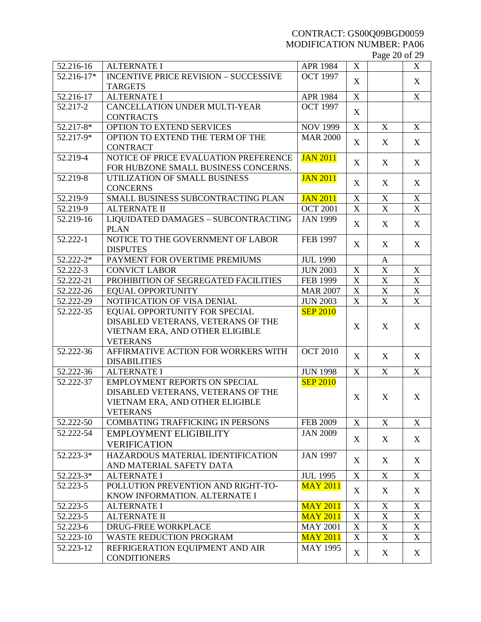| Page 20 of 29 |  |  |  |  |
|---------------|--|--|--|--|
|---------------|--|--|--|--|

|            |                                              |                 |                       | ັ                       |                         |
|------------|----------------------------------------------|-----------------|-----------------------|-------------------------|-------------------------|
| 52.216-16  | <b>ALTERNATE I</b>                           | APR 1984        | X                     |                         | X                       |
| 52.216-17* | <b>INCENTIVE PRICE REVISION - SUCCESSIVE</b> | <b>OCT 1997</b> | X                     |                         | X                       |
|            | <b>TARGETS</b>                               |                 |                       |                         |                         |
| 52.216-17  | <b>ALTERNATE I</b>                           | APR 1984        | $\mathbf X$           |                         | X                       |
| 52.217-2   | CANCELLATION UNDER MULTI-YEAR                | <b>OCT 1997</b> | X                     |                         |                         |
|            | <b>CONTRACTS</b>                             |                 |                       |                         |                         |
| 52.217-8*  | OPTION TO EXTEND SERVICES                    | <b>NOV 1999</b> | X                     | $\boldsymbol{X}$        | X                       |
| 52.217-9*  | OPTION TO EXTEND THE TERM OF THE             | <b>MAR 2000</b> | X                     | X                       | X                       |
|            | <b>CONTRACT</b>                              |                 |                       |                         |                         |
| 52.219-4   | NOTICE OF PRICE EVALUATION PREFERENCE        | <b>JAN 2011</b> | X                     | X                       | X                       |
|            | FOR HUBZONE SMALL BUSINESS CONCERNS.         |                 |                       |                         |                         |
| 52.219-8   | UTILIZATION OF SMALL BUSINESS                | <b>JAN 2011</b> | X                     | X                       | X                       |
|            | <b>CONCERNS</b>                              |                 |                       |                         |                         |
| 52.219-9   | SMALL BUSINESS SUBCONTRACTING PLAN           | <b>JAN 2011</b> | X                     | $\mathbf X$             | $\mathbf X$             |
| 52.219-9   | <b>ALTERNATE II</b>                          | <b>OCT 2001</b> | X                     | X                       | X                       |
| 52.219-16  | LIQUIDATED DAMAGES - SUBCONTRACTING          | <b>JAN 1999</b> | X                     | X                       | X                       |
|            | <b>PLAN</b>                                  |                 |                       |                         |                         |
| 52.222-1   | NOTICE TO THE GOVERNMENT OF LABOR            | <b>FEB 1997</b> | X                     | X                       | X                       |
|            | <b>DISPUTES</b>                              |                 |                       |                         |                         |
| 52.222-2*  | PAYMENT FOR OVERTIME PREMIUMS                | <b>JUL 1990</b> |                       | $\mathbf{A}$            |                         |
| 52.222-3   | <b>CONVICT LABOR</b>                         | <b>JUN 2003</b> | $\mathbf X$           | $\overline{\mathbf{X}}$ | $\mathbf X$             |
| 52.222-21  | PROHIBITION OF SEGREGATED FACILITIES         | FEB 1999        | $\mathbf X$           | $\overline{\mathbf{X}}$ | $\overline{\mathbf{X}}$ |
| 52.222-26  | <b>EQUAL OPPORTUNITY</b>                     | <b>MAR 2007</b> | $\mathbf X$           | $\overline{X}$          | $\overline{X}$          |
| 52.222-29  | NOTIFICATION OF VISA DENIAL                  | <b>JUN 2003</b> | $\overline{\text{X}}$ | $\overline{X}$          | $\overline{\text{X}}$   |
| 52.222-35  | EQUAL OPPORTUNITY FOR SPECIAL                | <b>SEP 2010</b> |                       |                         |                         |
|            | DISABLED VETERANS, VETERANS OF THE           |                 |                       |                         |                         |
|            | VIETNAM ERA, AND OTHER ELIGIBLE              |                 | X                     | X                       | X                       |
|            | <b>VETERANS</b>                              |                 |                       |                         |                         |
| 52.222-36  | AFFIRMATIVE ACTION FOR WORKERS WITH          | <b>OCT 2010</b> | X                     |                         |                         |
|            | <b>DISABILITIES</b>                          |                 |                       | X                       | X                       |
| 52.222-36  | <b>ALTERNATE I</b>                           | <b>JUN 1998</b> | X                     | X                       | X                       |
| 52.222-37  | <b>EMPLOYMENT REPORTS ON SPECIAL</b>         | <b>SEP 2010</b> |                       |                         |                         |
|            | DISABLED VETERANS, VETERANS OF THE           |                 | X                     | X                       | X                       |
|            | VIETNAM ERA, AND OTHER ELIGIBLE              |                 |                       |                         |                         |
|            | VETERANS                                     |                 |                       |                         |                         |
| 52.222-50  | <b>COMBATING TRAFFICKING IN PERSONS</b>      | <b>FEB 2009</b> | X                     | X                       | X                       |
| 52.222-54  | <b>EMPLOYMENT ELIGIBILITY</b>                | <b>JAN 2009</b> |                       |                         |                         |
|            | <b>VERIFICATION</b>                          |                 | X                     | X                       | X                       |
| 52.223-3*  | HAZARDOUS MATERIAL IDENTIFICATION            | <b>JAN 1997</b> |                       |                         |                         |
|            | AND MATERIAL SAFETY DATA                     |                 | X                     | X                       | X                       |
| 52.223-3*  | <b>ALTERNATE I</b>                           | <b>JUL 1995</b> | X                     | X                       | X                       |
| 52.223-5   | POLLUTION PREVENTION AND RIGHT-TO-           | <b>MAY 2011</b> |                       |                         |                         |
|            | KNOW INFORMATION. ALTERNATE I                |                 | X                     | X                       | X                       |
| 52.223-5   | <b>ALTERNATE I</b>                           | <b>MAY 2011</b> | X                     | X                       | X                       |
| 52.223-5   | <b>ALTERNATE II</b>                          | <b>MAY 2011</b> | $\mathbf X$           | $\mathbf X$             | X                       |
| 52.223-6   | DRUG-FREE WORKPLACE                          | <b>MAY 2001</b> | $\mathbf X$           | $\mathbf X$             | $\mathbf X$             |
| 52.223-10  | <b>WASTE REDUCTION PROGRAM</b>               | <b>MAY 2011</b> | X                     | X                       | X                       |
| 52.223-12  | REFRIGERATION EQUIPMENT AND AIR              | <b>MAY 1995</b> |                       |                         |                         |
|            | <b>CONDITIONERS</b>                          |                 | X                     | X                       | X                       |
|            |                                              |                 |                       |                         |                         |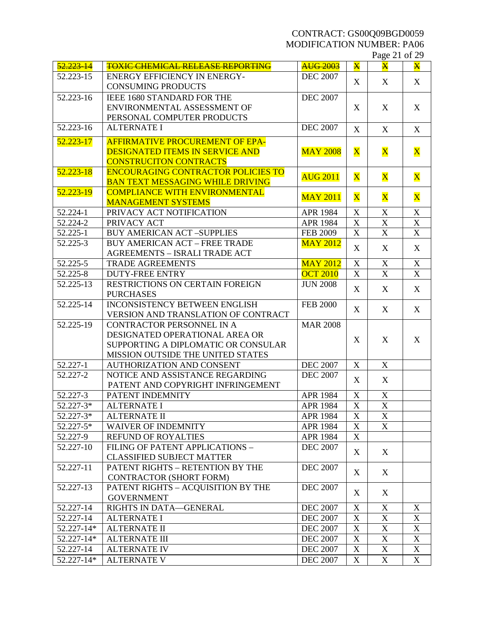| 52.223-14     | <b>TOXIC CHEMICAL RELEASE REPORTING</b>                     | <b>AUG 2003</b> | $\overline{\textbf{X}}$   | $\overline{\textbf{X}}$   | $\overline{\textbf{X}}$   |
|---------------|-------------------------------------------------------------|-----------------|---------------------------|---------------------------|---------------------------|
| 52.223-15     | <b>ENERGY EFFICIENCY IN ENERGY-</b>                         | <b>DEC 2007</b> | X                         | X                         | X                         |
|               | <b>CONSUMING PRODUCTS</b>                                   |                 |                           |                           |                           |
| 52.223-16     | IEEE 1680 STANDARD FOR THE                                  | <b>DEC 2007</b> |                           |                           |                           |
|               | ENVIRONMENTAL ASSESSMENT OF                                 |                 | X                         | X                         | X                         |
|               | PERSONAL COMPUTER PRODUCTS                                  |                 |                           |                           |                           |
| 52.223-16     | <b>ALTERNATE I</b>                                          | <b>DEC 2007</b> | X                         | X                         | X                         |
| 52.223-17     | <b>AFFIRMATIVE PROCUREMENT OF EPA-</b>                      |                 |                           |                           |                           |
|               | <b>DESIGNATED ITEMS IN SERVICE AND</b>                      | <b>MAY 2008</b> | $\overline{\textbf{X}}$   | $\mathbf{\overline{X}}$   | $\overline{\mathbf{X}}$   |
|               | <b>CONSTRUCITON CONTRACTS</b>                               |                 |                           |                           |                           |
| 52.223-18     | <b>ENCOURAGING CONTRACTOR POLICIES TO</b>                   | <b>AUG 2011</b> | $\overline{\text{X}}$     | $\overline{\text{X}}$     | $\overline{\textbf{X}}$   |
|               | <b>BAN TEXT MESSAGING WHILE DRIVING</b>                     |                 |                           |                           |                           |
| 52.223-19     | <b>COMPLIANCE WITH ENVIRONMENTAL</b>                        | <b>MAY 2011</b> | $\overline{\text{X}}$     | $\overline{\text{X}}$     | $\overline{\textbf{X}}$   |
|               | <b>MANAGEMENT SYSTEMS</b>                                   |                 |                           |                           |                           |
| 52.224-1      | PRIVACY ACT NOTIFICATION                                    | <b>APR 1984</b> | $\mathbf X$               | $\mathbf X$               | $\mathbf X$               |
| 52.224-2      | PRIVACY ACT                                                 | APR 1984        | $\mathbf X$               | $\mathbf X$               | $\mathbf X$               |
| 52.225-1      | <b>BUY AMERICAN ACT-SUPPLIES</b>                            | <b>FEB 2009</b> | $\overline{X}$            | $\overline{X}$            | $\overline{\mathbf{X}}$   |
| 52.225-3      | <b>BUY AMERICAN ACT - FREE TRADE</b>                        | <b>MAY 2012</b> | X                         | X                         | $\mathbf X$               |
|               | <b>AGREEMENTS - ISRALI TRADE ACT</b>                        |                 |                           |                           |                           |
| 52.225-5      | <b>TRADE AGREEMENTS</b>                                     | <b>MAY 2012</b> | X                         | $\mathbf X$               | $\mathbf X$               |
| 52.225-8      | <b>DUTY-FREE ENTRY</b>                                      | <b>OCT 2010</b> | $\mathbf X$               | $\overline{X}$            | $\overline{X}$            |
| 52.225-13     | RESTRICTIONS ON CERTAIN FOREIGN                             | <b>JUN 2008</b> | X                         | X                         | X                         |
|               | <b>PURCHASES</b>                                            |                 |                           |                           |                           |
| 52.225-14     | <b>INCONSISTENCY BETWEEN ENGLISH</b>                        | <b>FEB 2000</b> | X                         | X                         | X                         |
|               | <b>VERSION AND TRANSLATION OF CONTRACT</b>                  |                 |                           |                           |                           |
| 52.225-19     | CONTRACTOR PERSONNEL IN A<br>DESIGNATED OPERATIONAL AREA OR | <b>MAR 2008</b> |                           |                           |                           |
|               | SUPPORTING A DIPLOMATIC OR CONSULAR                         |                 | X                         | X                         | X                         |
|               | MISSION OUTSIDE THE UNITED STATES                           |                 |                           |                           |                           |
| 52.227-1      | AUTHORIZATION AND CONSENT                                   | <b>DEC</b> 2007 | $\mathbf X$               | $\mathbf X$               |                           |
| 52.227-2      | NOTICE AND ASSISTANCE REGARDING                             | <b>DEC 2007</b> |                           |                           |                           |
|               | PATENT AND COPYRIGHT INFRINGEMENT                           |                 | X                         | X                         |                           |
| 52.227-3      | PATENT INDEMNITY                                            | APR 1984        | X                         | $\boldsymbol{\mathrm{X}}$ |                           |
| $52.227 - 3*$ | <b>ALTERNATE I</b>                                          | <b>APR 1984</b> | $\overline{X}$            | $\overline{X}$            |                           |
| 52.227-3*     | <b>ALTERNATE II</b>                                         | APR 1984        | X                         | X                         |                           |
| 52.227-5*     | <b>WAIVER OF INDEMNITY</b>                                  | <b>APR 1984</b> | X                         | X                         |                           |
| 52.227-9      | <b>REFUND OF ROYALTIES</b>                                  | APR 1984        | X                         |                           |                           |
| 52.227-10     | FILING OF PATENT APPLICATIONS -                             | <b>DEC 2007</b> |                           |                           |                           |
|               | <b>CLASSIFIED SUBJECT MATTER</b>                            |                 | X                         | X                         |                           |
| 52.227-11     | PATENT RIGHTS - RETENTION BY THE                            | <b>DEC 2007</b> |                           |                           |                           |
|               | CONTRACTOR (SHORT FORM)                                     |                 | X                         | X                         |                           |
| 52.227-13     | PATENT RIGHTS - ACQUISITION BY THE                          | <b>DEC 2007</b> |                           |                           |                           |
|               | <b>GOVERNMENT</b>                                           |                 | X                         | X                         |                           |
| 52.227-14     | RIGHTS IN DATA-GENERAL                                      | <b>DEC 2007</b> | X                         | X                         | X                         |
| 52.227-14     | <b>ALTERNATE I</b>                                          | <b>DEC 2007</b> | X                         | $\mathbf X$               | $\mathbf X$               |
| 52.227-14*    | <b>ALTERNATE II</b>                                         | <b>DEC 2007</b> | X                         | X                         | $\boldsymbol{\mathrm{X}}$ |
| 52.227-14*    | <b>ALTERNATE III</b>                                        | <b>DEC 2007</b> | $\boldsymbol{\mathrm{X}}$ | $\mathbf X$               | $\boldsymbol{\mathrm{X}}$ |
| 52.227-14     | <b>ALTERNATE IV</b>                                         | <b>DEC 2007</b> | $\mathbf X$               | X                         | $\boldsymbol{\mathrm{X}}$ |
| 52.227-14*    | <b>ALTERNATE V</b>                                          | <b>DEC 2007</b> | X                         | X                         | X                         |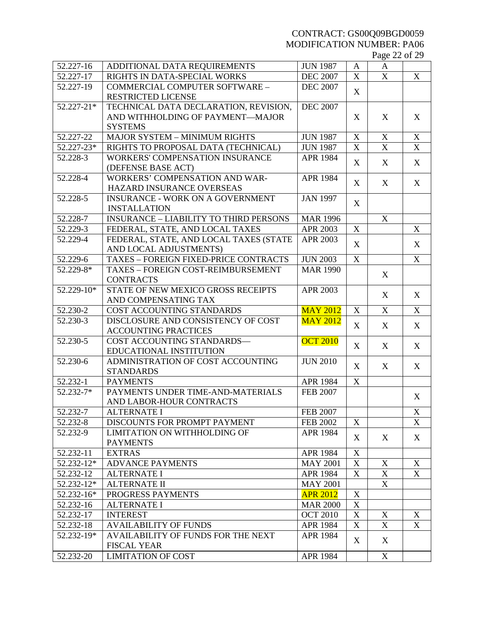Page 22 of 29

| 52.227-16            | ADDITIONAL DATA REQUIREMENTS                                    | <b>JUN 1987</b>                    | A           | A                |             |
|----------------------|-----------------------------------------------------------------|------------------------------------|-------------|------------------|-------------|
| 52.227-17            | RIGHTS IN DATA-SPECIAL WORKS                                    | <b>DEC 2007</b>                    | X           | X                | X           |
| 52.227-19            | COMMERCIAL COMPUTER SOFTWARE -                                  | <b>DEC 2007</b>                    | X           |                  |             |
|                      | <b>RESTRICTED LICENSE</b>                                       |                                    |             |                  |             |
| 52.227-21*           | TECHNICAL DATA DECLARATION, REVISION,                           | <b>DEC 2007</b>                    |             |                  |             |
|                      | AND WITHHOLDING OF PAYMENT-MAJOR                                |                                    | X           | X                | X           |
|                      | <b>SYSTEMS</b>                                                  |                                    |             |                  |             |
| 52.227-22            | <b>MAJOR SYSTEM - MINIMUM RIGHTS</b>                            | <b>JUN 1987</b>                    | X           | X                | X           |
| 52.227-23*           | RIGHTS TO PROPOSAL DATA (TECHNICAL)                             | <b>JUN 1987</b>                    | $\mathbf X$ | $\mathbf X$      | $\mathbf X$ |
| 52.228-3             | <b>WORKERS' COMPENSATION INSURANCE</b>                          | <b>APR 1984</b>                    | X           | X                | X           |
|                      | (DEFENSE BASE ACT)                                              |                                    |             |                  |             |
| 52.228-4             | <b>WORKERS' COMPENSATION AND WAR-</b>                           | <b>APR 1984</b>                    | X           | X                | X           |
|                      | HAZARD INSURANCE OVERSEAS                                       |                                    |             |                  |             |
| 52.228-5             | <b>INSURANCE - WORK ON A GOVERNMENT</b>                         | <b>JAN 1997</b>                    | X           |                  |             |
|                      | <b>INSTALLATION</b>                                             |                                    |             |                  |             |
| 52.228-7             | <b>INSURANCE - LIABILITY TO THIRD PERSONS</b>                   | <b>MAR 1996</b>                    |             | $\mathbf X$      |             |
| 52.229-3             | FEDERAL, STATE, AND LOCAL TAXES                                 | APR 2003                           | $\mathbf X$ |                  | $\mathbf X$ |
| 52.229-4             | FEDERAL, STATE, AND LOCAL TAXES (STATE                          | APR 2003                           | X           |                  | X           |
|                      | AND LOCAL ADJUSTMENTS)                                          |                                    |             |                  |             |
| 52.229-6             | TAXES - FOREIGN FIXED-PRICE CONTRACTS                           | <b>JUN 2003</b>                    | X           |                  | X           |
| 52.229-8*            | TAXES - FOREIGN COST-REIMBURSEMENT                              | <b>MAR 1990</b>                    |             | X                |             |
|                      | <b>CONTRACTS</b>                                                |                                    |             |                  |             |
| 52.229-10*           | STATE OF NEW MEXICO GROSS RECEIPTS                              | APR 2003                           |             | X                | X           |
|                      | AND COMPENSATING TAX                                            |                                    |             |                  | $\mathbf X$ |
| 52.230-2<br>52.230-3 | COST ACCOUNTING STANDARDS<br>DISCLOSURE AND CONSISTENCY OF COST | <b>MAY 2012</b><br><b>MAY 2012</b> | $\mathbf X$ | $\mathbf X$      |             |
|                      | <b>ACCOUNTING PRACTICES</b>                                     |                                    | X           | X                | X           |
| 52.230-5             | COST ACCOUNTING STANDARDS-                                      | <b>OCT 2010</b>                    |             |                  |             |
|                      | EDUCATIONAL INSTITUTION                                         |                                    | X           | X                | X           |
| 52.230-6             | ADMINISTRATION OF COST ACCOUNTING                               | <b>JUN 2010</b>                    |             |                  |             |
|                      | <b>STANDARDS</b>                                                |                                    | X           | X                | X           |
| 52.232-1             | <b>PAYMENTS</b>                                                 | APR 1984                           | X           |                  |             |
| 52.232-7*            | PAYMENTS UNDER TIME-AND-MATERIALS                               | <b>FEB 2007</b>                    |             |                  |             |
|                      | AND LABOR-HOUR CONTRACTS                                        |                                    |             |                  | X           |
| 52.232-7             | <b>ALTERNATE I</b>                                              | <b>FEB 2007</b>                    |             |                  | $\mathbf X$ |
| 52.232-8             | DISCOUNTS FOR PROMPT PAYMENT                                    | <b>FEB 2002</b>                    | X           |                  | X           |
| 52.232-9             | LIMITATION ON WITHHOLDING OF                                    | <b>APR 1984</b>                    |             |                  |             |
|                      | <b>PAYMENTS</b>                                                 |                                    | X           | X                | X           |
| 52.232-11            | <b>EXTRAS</b>                                                   | APR 1984                           | X           |                  |             |
| 52.232-12*           | <b>ADVANCE PAYMENTS</b>                                         | <b>MAY 2001</b>                    | X           | $\mathbf X$      | X           |
| 52.232-12            | <b>ALTERNATE I</b>                                              | APR 1984                           | X           | $\mathbf X$      | X           |
| 52.232-12*           | <b>ALTERNATE II</b>                                             | <b>MAY 2001</b>                    |             | X                |             |
| 52.232-16*           | PROGRESS PAYMENTS                                               | <b>APR 2012</b>                    | X           |                  |             |
| 52.232-16            | <b>ALTERNATE I</b>                                              | <b>MAR 2000</b>                    | X           |                  |             |
| 52.232-17            | <b>INTEREST</b>                                                 | <b>OCT 2010</b>                    | X           | X                | X           |
| 52.232-18            | <b>AVAILABILITY OF FUNDS</b>                                    | APR 1984                           | X           | $\mathbf X$      | X           |
| 52.232-19*           | AVAILABILITY OF FUNDS FOR THE NEXT                              | APR 1984                           |             |                  |             |
|                      | <b>FISCAL YEAR</b>                                              |                                    | X           | X                |             |
| 52.232-20            | <b>LIMITATION OF COST</b>                                       | APR 1984                           |             | $\boldsymbol{X}$ |             |
|                      |                                                                 |                                    |             |                  |             |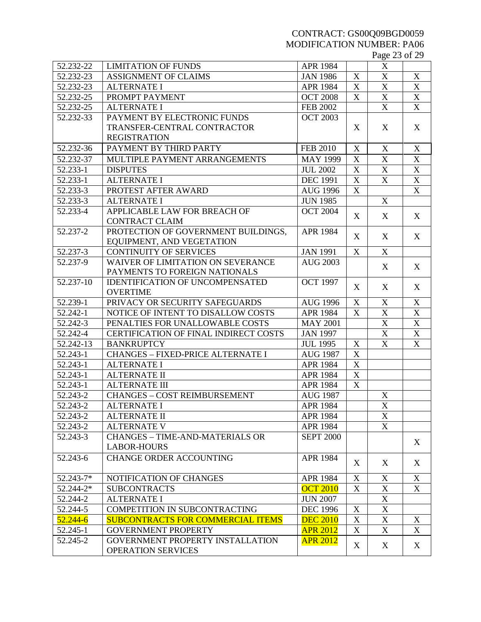| Page 23 of 29 |  |  |  |  |
|---------------|--|--|--|--|
|---------------|--|--|--|--|

| 52.232-22    | <b>LIMITATION OF FUNDS</b>                   | <b>APR 1984</b>  |                           | X                       |                       |
|--------------|----------------------------------------------|------------------|---------------------------|-------------------------|-----------------------|
| 52.232-23    | <b>ASSIGNMENT OF CLAIMS</b>                  | <b>JAN 1986</b>  | X                         | $\mathbf X$             | X                     |
| 52.232-23    | <b>ALTERNATE I</b>                           | <b>APR 1984</b>  | X                         | $\overline{X}$          | $\mathbf X$           |
| 52.232-25    | PROMPT PAYMENT                               | <b>OCT 2008</b>  | X                         | $\mathbf X$             | $\mathbf X$           |
| 52.232-25    | <b>ALTERNATE I</b>                           | <b>FEB 2002</b>  |                           | $\overline{X}$          | $\overline{\text{X}}$ |
| 52.232-33    | PAYMENT BY ELECTRONIC FUNDS                  | <b>OCT 2003</b>  |                           |                         |                       |
|              | TRANSFER-CENTRAL CONTRACTOR                  |                  | X                         | X                       | X                     |
|              | <b>REGISTRATION</b>                          |                  |                           |                         |                       |
| 52.232-36    | PAYMENT BY THIRD PARTY                       | <b>FEB 2010</b>  | $\mathbf X$               | X                       | $\mathbf X$           |
| 52.232-37    | MULTIPLE PAYMENT ARRANGEMENTS                | <b>MAY 1999</b>  | $\mathbf X$               | $\mathbf X$             | $\mathbf X$           |
| 52.233-1     | <b>DISPUTES</b>                              | <b>JUL 2002</b>  | $\boldsymbol{\mathrm{X}}$ | $\mathbf X$             | $\mathbf X$           |
| 52.233-1     | <b>ALTERNATE I</b>                           | <b>DEC 1991</b>  | X                         | $\mathbf X$             | $\mathbf X$           |
| 52.233-3     | PROTEST AFTER AWARD                          | <b>AUG 1996</b>  | X                         |                         | X                     |
| 52.233-3     | <b>ALTERNATE I</b>                           | <b>JUN 1985</b>  |                           | $\mathbf X$             |                       |
| 52.233-4     | APPLICABLE LAW FOR BREACH OF                 | <b>OCT 2004</b>  | X                         | X                       | X                     |
|              | <b>CONTRACT CLAIM</b>                        |                  |                           |                         |                       |
| 52.237-2     | PROTECTION OF GOVERNMENT BUILDINGS,          | <b>APR 1984</b>  | X                         | X                       | X                     |
|              | EQUIPMENT, AND VEGETATION                    |                  |                           |                         |                       |
| 52.237-3     | <b>CONTINUITY OF SERVICES</b>                | <b>JAN 1991</b>  | X                         | $\mathbf X$             |                       |
| 52.237-9     | WAIVER OF LIMITATION ON SEVERANCE            | <b>AUG 2003</b>  |                           | X                       | X                     |
|              | PAYMENTS TO FOREIGN NATIONALS                |                  |                           |                         |                       |
| 52.237-10    | <b>IDENTIFICATION OF UNCOMPENSATED</b>       | <b>OCT 1997</b>  | X                         | X                       | X                     |
|              | <b>OVERTIME</b>                              |                  |                           |                         |                       |
| 52.239-1     | PRIVACY OR SECURITY SAFEGUARDS               | <b>AUG 1996</b>  | X                         | X                       | X                     |
| 52.242-1     | NOTICE OF INTENT TO DISALLOW COSTS           | APR 1984         | X                         | $\mathbf X$             | $\mathbf X$           |
| 52.242-3     | PENALTIES FOR UNALLOWABLE COSTS              | <b>MAY 2001</b>  |                           | $\mathbf X$             | $\mathbf X$           |
| 52.242-4     | <b>CERTIFICATION OF FINAL INDIRECT COSTS</b> | <b>JAN 1997</b>  |                           | $\overline{\mathbf{X}}$ | $\overline{X}$        |
| 52.242-13    | <b>BANKRUPTCY</b>                            | <b>JUL 1995</b>  | X                         | X                       | X                     |
| 52.243-1     | <b>CHANGES - FIXED-PRICE ALTERNATE I</b>     | <b>AUG 1987</b>  | $\mathbf X$               |                         |                       |
| 52.243-1     | <b>ALTERNATE I</b>                           | <b>APR 1984</b>  | $\mathbf X$               |                         |                       |
| 52.243-1     | <b>ALTERNATE II</b>                          | APR 1984         | $\mathbf X$               |                         |                       |
| 52.243-1     | <b>ALTERNATE III</b>                         | <b>APR 1984</b>  | $\overline{\mathbf{X}}$   |                         |                       |
| 52.243-2     | <b>CHANGES - COST REIMBURSEMENT</b>          | <b>AUG 1987</b>  |                           | X                       |                       |
| 52.243-2     | <b>ALTERNATE I</b>                           | APR 1984         |                           | $\overline{X}$          |                       |
| 52.243-2     | <b>ALTERNATE II</b>                          | <b>APR 1984</b>  |                           | X                       |                       |
| 52.243-2     | <b>ALTERNATE V</b>                           | APR 1984         |                           | X                       |                       |
| 52.243-3     | <b>CHANGES - TIME-AND-MATERIALS OR</b>       | <b>SEPT 2000</b> |                           |                         | X                     |
|              | <b>LABOR-HOURS</b>                           |                  |                           |                         |                       |
| 52.243-6     | <b>CHANGE ORDER ACCOUNTING</b>               | <b>APR 1984</b>  | X                         | X                       | X                     |
| 52.243-7*    | NOTIFICATION OF CHANGES                      | <b>APR 1984</b>  | X                         | X                       | X                     |
| 52.244-2*    | <b>SUBCONTRACTS</b>                          | <b>OCT 2010</b>  | X                         | X                       | X                     |
| 52.244-2     | <b>ALTERNATE I</b>                           | <b>JUN 2007</b>  |                           | $\mathbf X$             |                       |
| 52.244-5     | <b>COMPETITION IN SUBCONTRACTING</b>         | <b>DEC 1996</b>  | X                         | $\mathbf X$             |                       |
| $52.244 - 6$ | <b>SUBCONTRACTS FOR COMMERCIAL ITEMS</b>     | <b>DEC 2010</b>  | X                         | $\mathbf X$             | X                     |
| 52.245-1     | <b>GOVERNMENT PROPERTY</b>                   | <b>APR 2012</b>  | X                         | X                       | X                     |
| 52.245-2     | GOVERNMENT PROPERTY INSTALLATION             | <b>APR 2012</b>  | X                         | X                       | X                     |
|              | <b>OPERATION SERVICES</b>                    |                  |                           |                         |                       |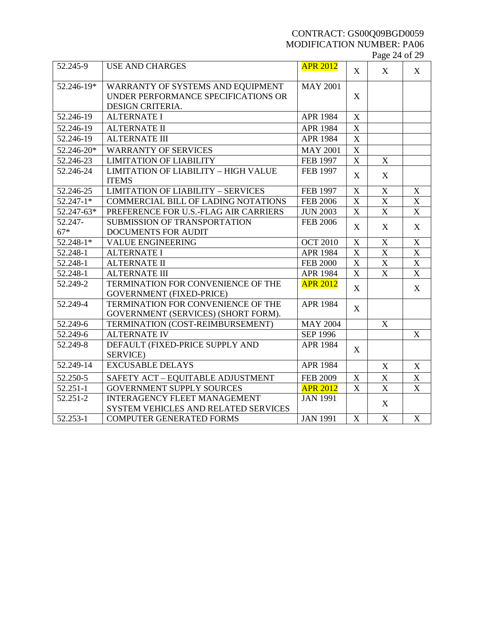| Page 24 of 29 |
|---------------|
|---------------|

|               |                                                                                              |                 |                | $1 \mu_{\rm D}$ $\mu$ $\mu$ $\mu$ $\mu$ |                           |
|---------------|----------------------------------------------------------------------------------------------|-----------------|----------------|-----------------------------------------|---------------------------|
| 52.245-9      | <b>USE AND CHARGES</b>                                                                       | <b>APR 2012</b> | X              | X                                       | X                         |
| 52.246-19*    | WARRANTY OF SYSTEMS AND EQUIPMENT<br>UNDER PERFORMANCE SPECIFICATIONS OR<br>DESIGN CRITERIA. | <b>MAY 2001</b> | X              |                                         |                           |
| 52.246-19     | <b>ALTERNATE I</b>                                                                           | APR 1984        | $\mathbf X$    |                                         |                           |
| 52.246-19     | <b>ALTERNATE II</b>                                                                          | <b>APR 1984</b> | X              |                                         |                           |
| 52.246-19     | <b>ALTERNATE III</b>                                                                         | <b>APR 1984</b> | $\mathbf{X}$   |                                         |                           |
| 52.246-20*    | <b>WARRANTY OF SERVICES</b>                                                                  | <b>MAY 2001</b> | $\mathbf X$    |                                         |                           |
| 52.246-23     | <b>LIMITATION OF LIABILITY</b>                                                               | <b>FEB 1997</b> | $\overline{X}$ | $\mathbf X$                             |                           |
| 52.246-24     | LIMITATION OF LIABILITY - HIGH VALUE<br><b>ITEMS</b>                                         | <b>FEB 1997</b> | X              | X                                       |                           |
| 52.246-25     | <b>LIMITATION OF LIABILITY - SERVICES</b>                                                    | <b>FEB 1997</b> | $\mathbf X$    | $\mathbf X$                             | $\mathbf X$               |
| $52.247 - 1*$ | <b>COMMERCIAL BILL OF LADING NOTATIONS</b>                                                   | <b>FEB 2006</b> | X              | $\mathbf X$                             | $\boldsymbol{\mathrm{X}}$ |
| 52.247-63*    | PREFERENCE FOR U.S.-FLAG AIR CARRIERS                                                        | <b>JUN 2003</b> | $\overline{X}$ | $\overline{X}$                          | $\overline{\mathbf{X}}$   |
| 52.247-       | <b>SUBMISSION OF TRANSPORTATION</b>                                                          | <b>FEB 2006</b> | X              | X                                       | X                         |
| $67*$         | <b>DOCUMENTS FOR AUDIT</b>                                                                   |                 |                |                                         |                           |
| $52.248-1*$   | <b>VALUE ENGINEERING</b>                                                                     | <b>OCT 2010</b> | $\mathbf X$    | $\mathbf X$                             | $\mathbf X$               |
| 52.248-1      | <b>ALTERNATE I</b>                                                                           | APR 1984        | X              | $\overline{X}$                          | $\overline{X}$            |
| 52.248-1      | <b>ALTERNATE II</b>                                                                          | <b>FEB 2000</b> | $\overline{X}$ | $\overline{\textbf{X}}$                 | $\overline{X}$            |
| 52.248-1      | <b>ALTERNATE III</b>                                                                         | <b>APR 1984</b> | $\overline{X}$ | $\overline{X}$                          | $\overline{X}$            |
| 52.249-2      | TERMINATION FOR CONVENIENCE OF THE<br><b>GOVERNMENT (FIXED-PRICE)</b>                        | <b>APR 2012</b> | X              |                                         | $\mathbf X$               |
| 52.249-4      | TERMINATION FOR CONVENIENCE OF THE<br>GOVERNMENT (SERVICES) (SHORT FORM).                    | <b>APR 1984</b> | $\mathbf{X}$   |                                         |                           |
| 52.249-6      | TERMINATION (COST-REIMBURSEMENT)                                                             | <b>MAY 2004</b> |                | $\overline{X}$                          |                           |
| 52.249-6      | <b>ALTERNATE IV</b>                                                                          | <b>SEP 1996</b> |                |                                         | X                         |
| 52.249-8      | DEFAULT (FIXED-PRICE SUPPLY AND<br><b>SERVICE</b> )                                          | <b>APR 1984</b> | X              |                                         |                           |
| 52.249-14     | <b>EXCUSABLE DELAYS</b>                                                                      | <b>APR 1984</b> |                | X                                       | X                         |
| 52.250-5      | SAFETY ACT - EQUITABLE ADJUSTMENT                                                            | <b>FEB 2009</b> | X              | $\overline{X}$                          | $\mathbf X$               |
| $52.251 - 1$  | <b>GOVERNMENT SUPPLY SOURCES</b>                                                             | <b>APR 2012</b> | X              | $\overline{X}$                          | X                         |
| 52.251-2      | <b>INTERAGENCY FLEET MANAGEMENT</b><br>SYSTEM VEHICLES AND RELATED SERVICES                  | <b>JAN 1991</b> |                | X                                       |                           |
| 52.253-1      | <b>COMPUTER GENERATED FORMS</b>                                                              | <b>JAN 1991</b> | $\mathbf{X}$   | $\overline{X}$                          | X                         |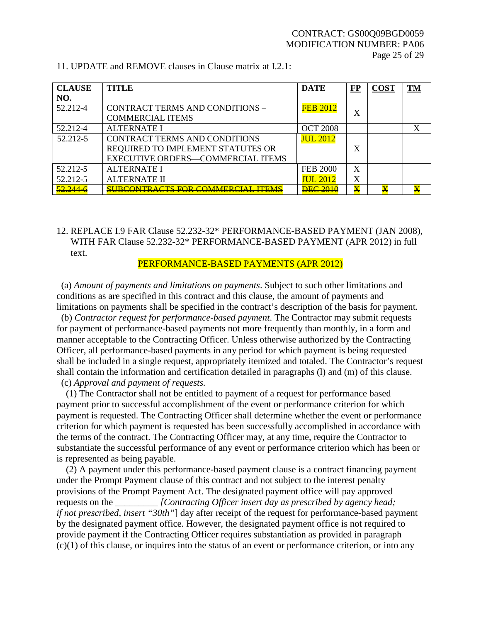| <b>CLAUSE</b>       | <b>TITLE</b>                       | <b>DATE</b>         | <b>FP</b>               | <b>COST</b> | TM |
|---------------------|------------------------------------|---------------------|-------------------------|-------------|----|
| NO.                 |                                    |                     |                         |             |    |
| 52.212-4            | CONTRACT TERMS AND CONDITIONS -    | <b>FEB 2012</b>     | X                       |             |    |
|                     | <b>COMMERCIAL ITEMS</b>            |                     |                         |             |    |
| 52.212-4            | <b>ALTERNATE I</b>                 | <b>OCT 2008</b>     |                         |             | X  |
| 52.212-5            | CONTRACT TERMS AND CONDITIONS      | <b>JUL 2012</b>     |                         |             |    |
|                     | REQUIRED TO IMPLEMENT STATUTES OR  |                     | X                       |             |    |
|                     | EXECUTIVE ORDERS-COMMERCIAL ITEMS  |                     |                         |             |    |
| 52.212-5            | <b>ALTERNATE I</b>                 | <b>FEB 2000</b>     | X                       |             |    |
| 52.212-5            | <b>ALTERNATE II</b>                | <b>JUL 2012</b>     | X                       |             |    |
| <del>52.244-6</del> | <b>SUBCONTRACTS FOR COMMERCIAL</b> | <del>DEC 2010</del> | $\overline{\textbf{X}}$ | Χ           |    |

11. UPDATE and REMOVE clauses in Clause matrix at I.2.1:

#### 12. REPLACE I.9 FAR Clause 52.232-32\* PERFORMANCE-BASED PAYMENT (JAN 2008), WITH FAR Clause 52.232-32\* PERFORMANCE-BASED PAYMENT (APR 2012) in full text.

PERFORMANCE-BASED PAYMENTS (APR 2012)

(a) *Amount of payments and limitations on payments*. Subject to such other limitations and conditions as are specified in this contract and this clause, the amount of payments and limitations on payments shall be specified in the contract's description of the basis for payment.

(b) *Contractor request for performance-based payment*. The Contractor may submit requests for payment of performance-based payments not more frequently than monthly, in a form and manner acceptable to the Contracting Officer. Unless otherwise authorized by the Contracting Officer, all performance-based payments in any period for which payment is being requested shall be included in a single request, appropriately itemized and totaled. The Contractor's request shall contain the information and certification detailed in paragraphs (l) and (m) of this clause.

(c) *Approval and payment of requests.*

(1) The Contractor shall not be entitled to payment of a request for performance based payment prior to successful accomplishment of the event or performance criterion for which payment is requested. The Contracting Officer shall determine whether the event or performance criterion for which payment is requested has been successfully accomplished in accordance with the terms of the contract. The Contracting Officer may, at any time, require the Contractor to substantiate the successful performance of any event or performance criterion which has been or is represented as being payable.

(2) A payment under this performance-based payment clause is a contract financing payment under the Prompt Payment clause of this contract and not subject to the interest penalty provisions of the Prompt Payment Act. The designated payment office will pay approved requests on the \_\_\_\_\_\_\_\_\_ *[Contracting Officer insert day as prescribed by agency head; if not prescribed, insert "30th"*] day after receipt of the request for performance-based payment by the designated payment office. However, the designated payment office is not required to provide payment if the Contracting Officer requires substantiation as provided in paragraph (c)(1) of this clause, or inquires into the status of an event or performance criterion, or into any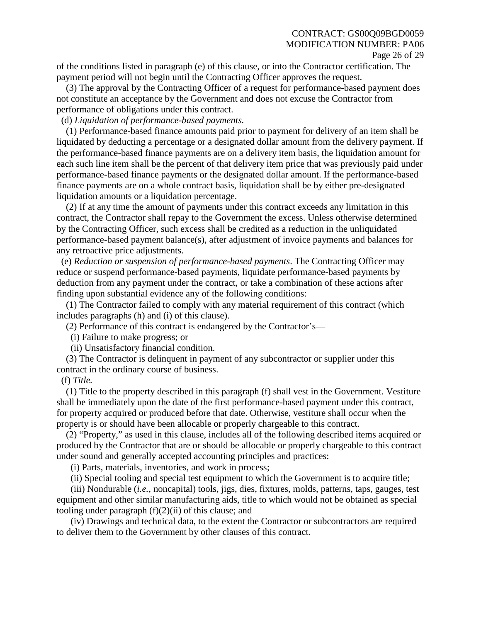of the conditions listed in paragraph (e) of this clause, or into the Contractor certification. The payment period will not begin until the Contracting Officer approves the request.

(3) The approval by the Contracting Officer of a request for performance-based payment does not constitute an acceptance by the Government and does not excuse the Contractor from performance of obligations under this contract.

(d) *Liquidation of performance-based payments.*

(1) Performance-based finance amounts paid prior to payment for delivery of an item shall be liquidated by deducting a percentage or a designated dollar amount from the delivery payment. If the performance-based finance payments are on a delivery item basis, the liquidation amount for each such line item shall be the percent of that delivery item price that was previously paid under performance-based finance payments or the designated dollar amount. If the performance-based finance payments are on a whole contract basis, liquidation shall be by either pre-designated liquidation amounts or a liquidation percentage.

(2) If at any time the amount of payments under this contract exceeds any limitation in this contract, the Contractor shall repay to the Government the excess. Unless otherwise determined by the Contracting Officer, such excess shall be credited as a reduction in the unliquidated performance-based payment balance(s), after adjustment of invoice payments and balances for any retroactive price adjustments.

(e) *Reduction or suspension of performance-based payments*. The Contracting Officer may reduce or suspend performance-based payments, liquidate performance-based payments by deduction from any payment under the contract, or take a combination of these actions after finding upon substantial evidence any of the following conditions:

(1) The Contractor failed to comply with any material requirement of this contract (which includes paragraphs (h) and (i) of this clause).

(2) Performance of this contract is endangered by the Contractor's—

(i) Failure to make progress; or

(ii) Unsatisfactory financial condition.

(3) The Contractor is delinquent in payment of any subcontractor or supplier under this contract in the ordinary course of business.

(f) *Title.*

(1) Title to the property described in this paragraph (f) shall vest in the Government. Vestiture shall be immediately upon the date of the first performance-based payment under this contract, for property acquired or produced before that date. Otherwise, vestiture shall occur when the property is or should have been allocable or properly chargeable to this contract.

(2) "Property," as used in this clause, includes all of the following described items acquired or produced by the Contractor that are or should be allocable or properly chargeable to this contract under sound and generally accepted accounting principles and practices:

(i) Parts, materials, inventories, and work in process;

(ii) Special tooling and special test equipment to which the Government is to acquire title;

(iii) Nondurable (*i.e.,* noncapital) tools, jigs, dies, fixtures, molds, patterns, taps, gauges, test equipment and other similar manufacturing aids, title to which would not be obtained as special tooling under paragraph  $(f)(2)(ii)$  of this clause; and

(iv) Drawings and technical data, to the extent the Contractor or subcontractors are required to deliver them to the Government by other clauses of this contract.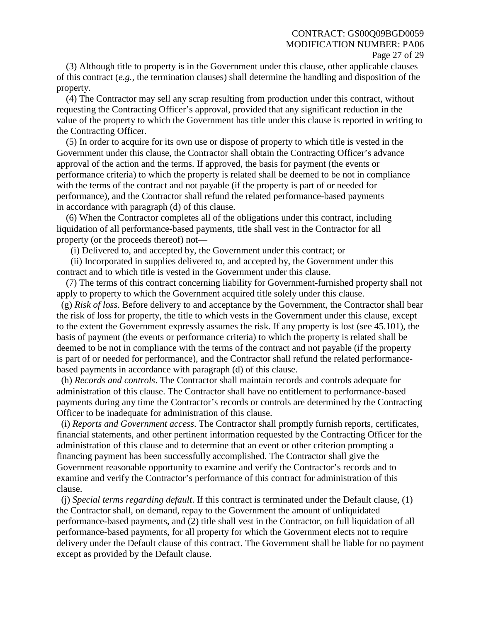(3) Although title to property is in the Government under this clause, other applicable clauses of this contract (*e.g.,* the termination clauses) shall determine the handling and disposition of the property.

(4) The Contractor may sell any scrap resulting from production under this contract, without requesting the Contracting Officer's approval, provided that any significant reduction in the value of the property to which the Government has title under this clause is reported in writing to the Contracting Officer.

(5) In order to acquire for its own use or dispose of property to which title is vested in the Government under this clause, the Contractor shall obtain the Contracting Officer's advance approval of the action and the terms. If approved, the basis for payment (the events or performance criteria) to which the property is related shall be deemed to be not in compliance with the terms of the contract and not payable (if the property is part of or needed for performance), and the Contractor shall refund the related performance-based payments in accordance with paragraph (d) of this clause.

(6) When the Contractor completes all of the obligations under this contract, including liquidation of all performance-based payments, title shall vest in the Contractor for all property (or the proceeds thereof) not—

(i) Delivered to, and accepted by, the Government under this contract; or

(ii) Incorporated in supplies delivered to, and accepted by, the Government under this contract and to which title is vested in the Government under this clause.

(7) The terms of this contract concerning liability for Government-furnished property shall not apply to property to which the Government acquired title solely under this clause.

(g) *Risk of loss*. Before delivery to and acceptance by the Government, the Contractor shall bear the risk of loss for property, the title to which vests in the Government under this clause, except to the extent the Government expressly assumes the risk. If any property is lost (see 45.101), the basis of payment (the events or performance criteria) to which the property is related shall be deemed to be not in compliance with the terms of the contract and not payable (if the property is part of or needed for performance), and the Contractor shall refund the related performancebased payments in accordance with paragraph (d) of this clause.

(h) *Records and controls*. The Contractor shall maintain records and controls adequate for administration of this clause. The Contractor shall have no entitlement to performance-based payments during any time the Contractor's records or controls are determined by the Contracting Officer to be inadequate for administration of this clause.

(i) *Reports and Government access*. The Contractor shall promptly furnish reports, certificates, financial statements, and other pertinent information requested by the Contracting Officer for the administration of this clause and to determine that an event or other criterion prompting a financing payment has been successfully accomplished. The Contractor shall give the Government reasonable opportunity to examine and verify the Contractor's records and to examine and verify the Contractor's performance of this contract for administration of this clause.

(j) *Special terms regarding default*. If this contract is terminated under the Default clause, (1) the Contractor shall, on demand, repay to the Government the amount of unliquidated performance-based payments, and (2) title shall vest in the Contractor, on full liquidation of all performance-based payments, for all property for which the Government elects not to require delivery under the Default clause of this contract. The Government shall be liable for no payment except as provided by the Default clause.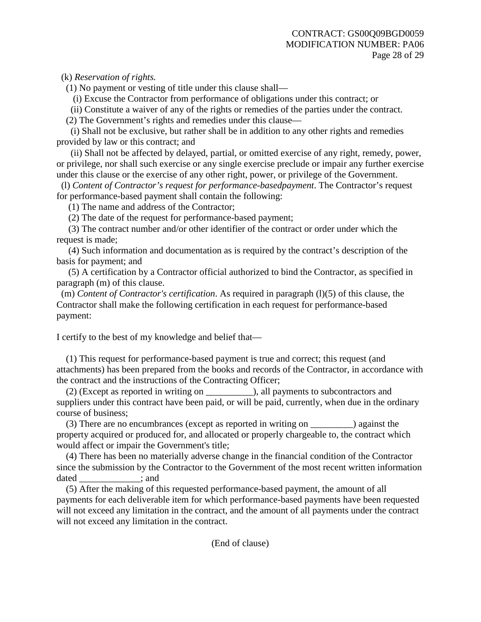(k) *Reservation of rights.*

(1) No payment or vesting of title under this clause shall—

(i) Excuse the Contractor from performance of obligations under this contract; or

(ii) Constitute a waiver of any of the rights or remedies of the parties under the contract.

(2) The Government's rights and remedies under this clause—

(i) Shall not be exclusive, but rather shall be in addition to any other rights and remedies provided by law or this contract; and

(ii) Shall not be affected by delayed, partial, or omitted exercise of any right, remedy, power, or privilege, nor shall such exercise or any single exercise preclude or impair any further exercise under this clause or the exercise of any other right, power, or privilege of the Government.

(l) *Content of Contractor's request for performance-basedpayment*. The Contractor's request for performance-based payment shall contain the following:

(1) The name and address of the Contractor;

(2) The date of the request for performance-based payment;

(3) The contract number and/or other identifier of the contract or order under which the request is made;

(4) Such information and documentation as is required by the contract's description of the basis for payment; and

(5) A certification by a Contractor official authorized to bind the Contractor, as specified in paragraph (m) of this clause.

(m) *Content of Contractor's certification*. As required in paragraph (l)(5) of this clause, the Contractor shall make the following certification in each request for performance-based payment:

I certify to the best of my knowledge and belief that—

(1) This request for performance-based payment is true and correct; this request (and attachments) has been prepared from the books and records of the Contractor, in accordance with the contract and the instructions of the Contracting Officer;

(2) (Except as reported in writing on \_\_\_\_\_\_\_\_\_\_), all payments to subcontractors and suppliers under this contract have been paid, or will be paid, currently, when due in the ordinary course of business;

(3) There are no encumbrances (except as reported in writing on  $\qquad$ ) against the property acquired or produced for, and allocated or properly chargeable to, the contract which would affect or impair the Government's title;

(4) There has been no materially adverse change in the financial condition of the Contractor since the submission by the Contractor to the Government of the most recent written information dated ; and

(5) After the making of this requested performance-based payment, the amount of all payments for each deliverable item for which performance-based payments have been requested will not exceed any limitation in the contract, and the amount of all payments under the contract will not exceed any limitation in the contract.

(End of clause)